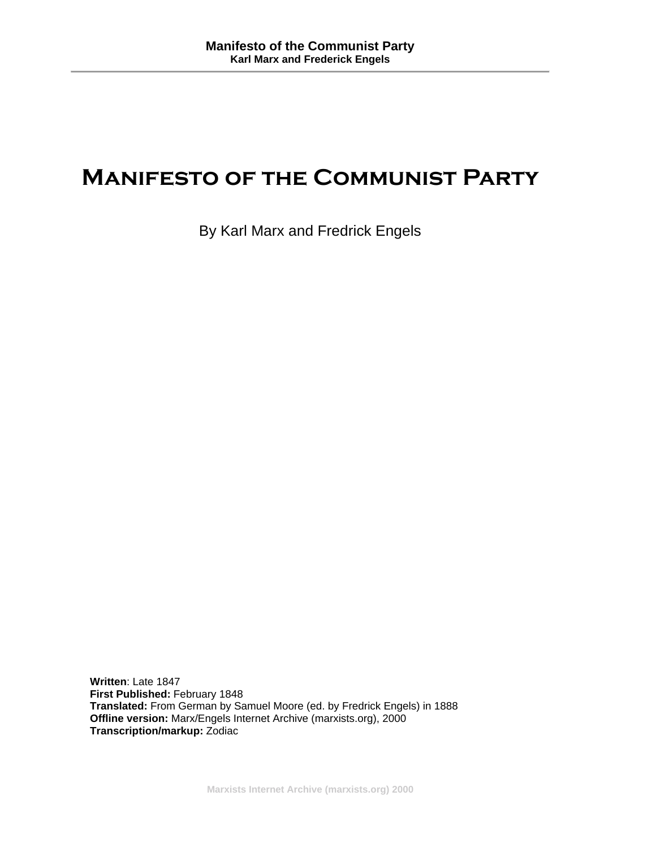# **Manifesto of the Communist Party**

By Karl Marx and Fredrick Engels

**Written**: Late 1847 **First Published:** February 1848 **Translated:** From German by Samuel Moore (ed. by Fredrick Engels) in 1888 **Offline version:** Marx/Engels Internet Archive (marxists.org), 2000 **Transcription/markup:** Zodiac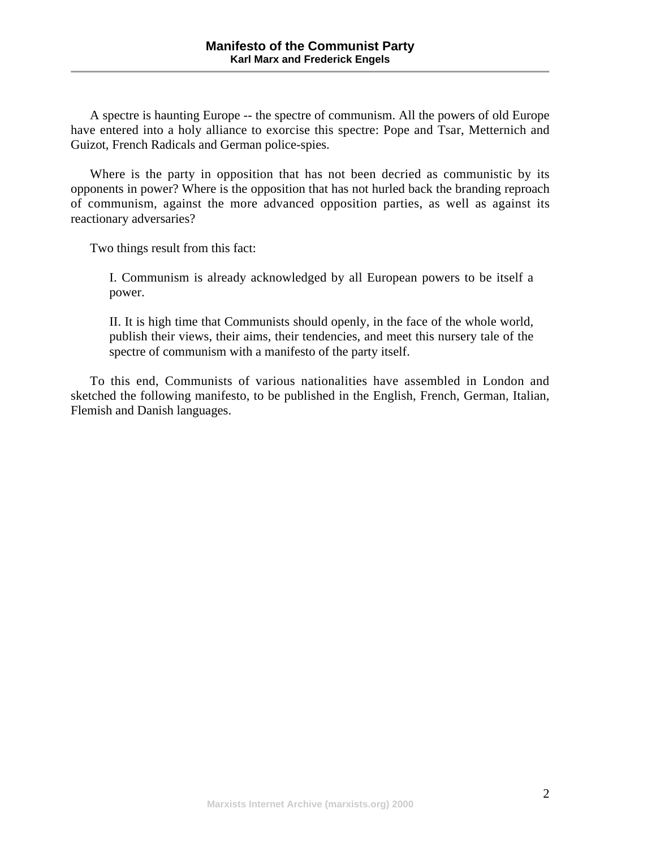A spectre is haunting Europe -- the spectre of communism. All the powers of old Europe have entered into a holy alliance to exorcise this spectre: Pope and Tsar, Metternich and Guizot, French Radicals and German police-spies.

Where is the party in opposition that has not been decried as communistic by its opponents in power? Where is the opposition that has not hurled back the branding reproach of communism, against the more advanced opposition parties, as well as against its reactionary adversaries?

Two things result from this fact:

I. Communism is already acknowledged by all European powers to be itself a power.

II. It is high time that Communists should openly, in the face of the whole world, publish their views, their aims, their tendencies, and meet this nursery tale of the spectre of communism with a manifesto of the party itself.

To this end, Communists of various nationalities have assembled in London and sketched the following manifesto, to be published in the English, French, German, Italian, Flemish and Danish languages.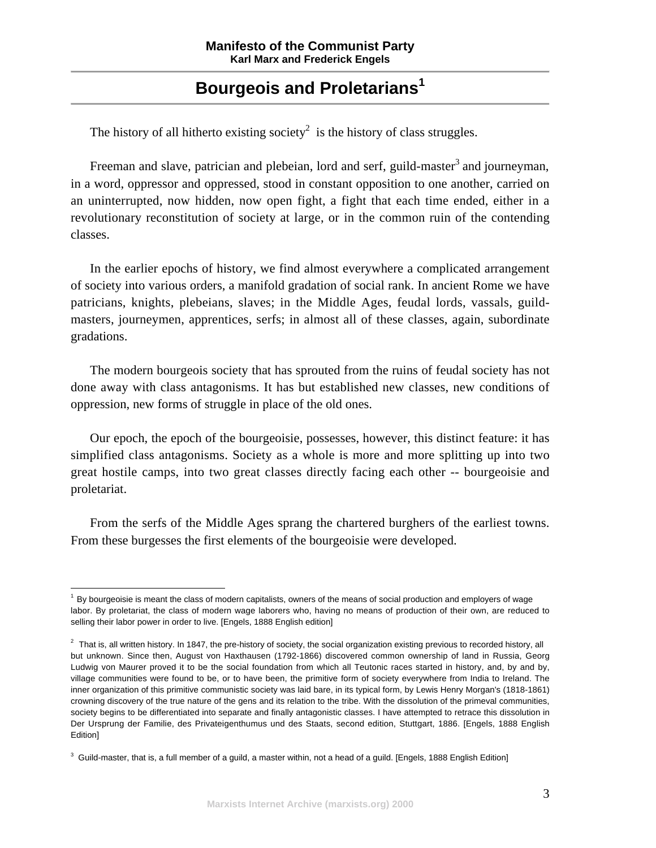# **Bourgeois and Proletarians<sup>1</sup>**

The history of all hitherto existing society<sup>2</sup> is the history of class struggles.

Freeman and slave, patrician and plebeian, lord and serf, guild-master<sup>3</sup> and journeyman, in a word, oppressor and oppressed, stood in constant opposition to one another, carried on an uninterrupted, now hidden, now open fight, a fight that each time ended, either in a revolutionary reconstitution of society at large, or in the common ruin of the contending classes.

In the earlier epochs of history, we find almost everywhere a complicated arrangement of society into various orders, a manifold gradation of social rank. In ancient Rome we have patricians, knights, plebeians, slaves; in the Middle Ages, feudal lords, vassals, guildmasters, journeymen, apprentices, serfs; in almost all of these classes, again, subordinate gradations.

The modern bourgeois society that has sprouted from the ruins of feudal society has not done away with class antagonisms. It has but established new classes, new conditions of oppression, new forms of struggle in place of the old ones.

Our epoch, the epoch of the bourgeoisie, possesses, however, this distinct feature: it has simplified class antagonisms. Society as a whole is more and more splitting up into two great hostile camps, into two great classes directly facing each other -- bourgeoisie and proletariat.

From the serfs of the Middle Ages sprang the chartered burghers of the earliest towns. From these burgesses the first elements of the bourgeoisie were developed.

 $\overline{a}$ 

 $^1$  By bourgeoisie is meant the class of modern capitalists, owners of the means of social production and employers of wage labor. By proletariat, the class of modern wage laborers who, having no means of production of their own, are reduced to selling their labor power in order to live. [Engels, 1888 English edition]

 $^2$  That is, all written history. In 1847, the pre-history of society, the social organization existing previous to recorded history, all but unknown. Since then, August von Haxthausen (1792-1866) discovered common ownership of land in Russia, Georg Ludwig von Maurer proved it to be the social foundation from which all Teutonic races started in history, and, by and by, village communities were found to be, or to have been, the primitive form of society everywhere from India to Ireland. The inner organization of this primitive communistic society was laid bare, in its typical form, by Lewis Henry Morgan's (1818-1861) crowning discovery of the true nature of the gens and its relation to the tribe. With the dissolution of the primeval communities, society begins to be differentiated into separate and finally antagonistic classes. I have attempted to retrace this dissolution in Der Ursprung der Familie, des Privateigenthumus und des Staats, second edition, Stuttgart, 1886. [Engels, 1888 English Edition]

 $^3$  Guild-master, that is, a full member of a guild, a master within, not a head of a guild. [Engels, 1888 English Edition]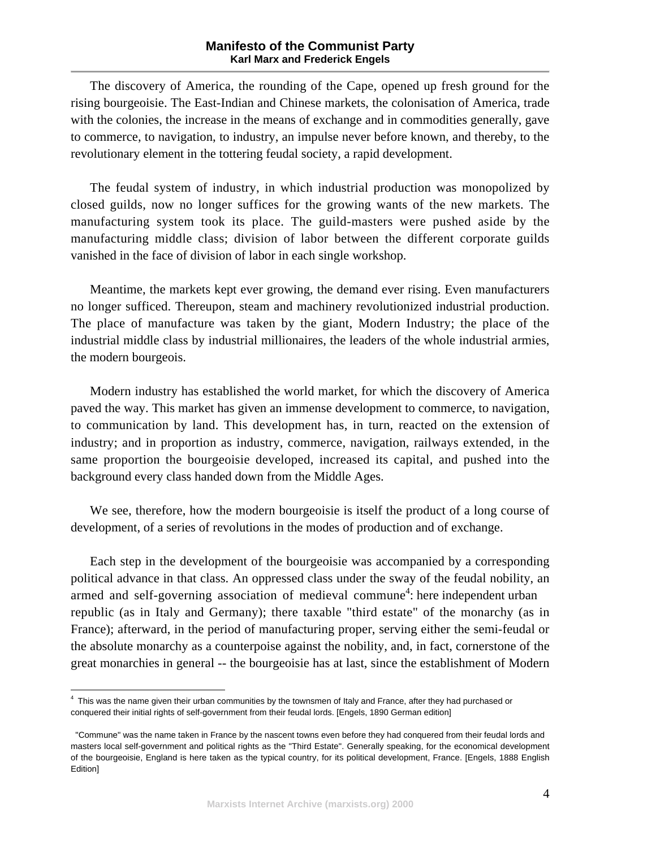The discovery of America, the rounding of the Cape, opened up fresh ground for the rising bourgeoisie. The East-Indian and Chinese markets, the colonisation of America, trade with the colonies, the increase in the means of exchange and in commodities generally, gave to commerce, to navigation, to industry, an impulse never before known, and thereby, to the revolutionary element in the tottering feudal society, a rapid development.

The feudal system of industry, in which industrial production was monopolized by closed guilds, now no longer suffices for the growing wants of the new markets. The manufacturing system took its place. The guild-masters were pushed aside by the manufacturing middle class; division of labor between the different corporate guilds vanished in the face of division of labor in each single workshop.

Meantime, the markets kept ever growing, the demand ever rising. Even manufacturers no longer sufficed. Thereupon, steam and machinery revolutionized industrial production. The place of manufacture was taken by the giant, Modern Industry; the place of the industrial middle class by industrial millionaires, the leaders of the whole industrial armies, the modern bourgeois.

Modern industry has established the world market, for which the discovery of America paved the way. This market has given an immense development to commerce, to navigation, to communication by land. This development has, in turn, reacted on the extension of industry; and in proportion as industry, commerce, navigation, railways extended, in the same proportion the bourgeoisie developed, increased its capital, and pushed into the background every class handed down from the Middle Ages.

We see, therefore, how the modern bourgeoisie is itself the product of a long course of development, of a series of revolutions in the modes of production and of exchange.

Each step in the development of the bourgeoisie was accompanied by a corresponding political advance in that class. An oppressed class under the sway of the feudal nobility, an armed and self-governing association of medieval commune<sup>4</sup>: here independent urban republic (as in Italy and Germany); there taxable "third estate" of the monarchy (as in France); afterward, in the period of manufacturing proper, serving either the semi-feudal or the absolute monarchy as a counterpoise against the nobility, and, in fact, cornerstone of the great monarchies in general -- the bourgeoisie has at last, since the establishment of Modern

 $\overline{a}$ 

<sup>&</sup>lt;sup>4</sup> This was the name given their urban communities by the townsmen of Italy and France, after they had purchased or conquered their initial rights of self-government from their feudal lords. [Engels, 1890 German edition]

 <sup>&</sup>quot;Commune" was the name taken in France by the nascent towns even before they had conquered from their feudal lords and masters local self-government and political rights as the "Third Estate". Generally speaking, for the economical development of the bourgeoisie, England is here taken as the typical country, for its political development, France. [Engels, 1888 English Edition]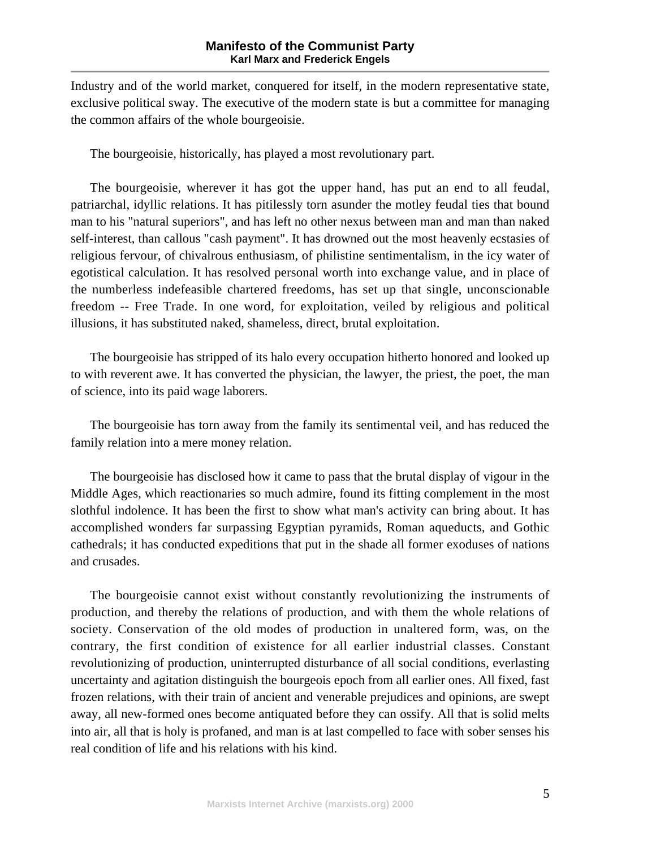Industry and of the world market, conquered for itself, in the modern representative state, exclusive political sway. The executive of the modern state is but a committee for managing the common affairs of the whole bourgeoisie.

The bourgeoisie, historically, has played a most revolutionary part.

The bourgeoisie, wherever it has got the upper hand, has put an end to all feudal, patriarchal, idyllic relations. It has pitilessly torn asunder the motley feudal ties that bound man to his "natural superiors", and has left no other nexus between man and man than naked self-interest, than callous "cash payment". It has drowned out the most heavenly ecstasies of religious fervour, of chivalrous enthusiasm, of philistine sentimentalism, in the icy water of egotistical calculation. It has resolved personal worth into exchange value, and in place of the numberless indefeasible chartered freedoms, has set up that single, unconscionable freedom -- Free Trade. In one word, for exploitation, veiled by religious and political illusions, it has substituted naked, shameless, direct, brutal exploitation.

The bourgeoisie has stripped of its halo every occupation hitherto honored and looked up to with reverent awe. It has converted the physician, the lawyer, the priest, the poet, the man of science, into its paid wage laborers.

The bourgeoisie has torn away from the family its sentimental veil, and has reduced the family relation into a mere money relation.

The bourgeoisie has disclosed how it came to pass that the brutal display of vigour in the Middle Ages, which reactionaries so much admire, found its fitting complement in the most slothful indolence. It has been the first to show what man's activity can bring about. It has accomplished wonders far surpassing Egyptian pyramids, Roman aqueducts, and Gothic cathedrals; it has conducted expeditions that put in the shade all former exoduses of nations and crusades.

The bourgeoisie cannot exist without constantly revolutionizing the instruments of production, and thereby the relations of production, and with them the whole relations of society. Conservation of the old modes of production in unaltered form, was, on the contrary, the first condition of existence for all earlier industrial classes. Constant revolutionizing of production, uninterrupted disturbance of all social conditions, everlasting uncertainty and agitation distinguish the bourgeois epoch from all earlier ones. All fixed, fast frozen relations, with their train of ancient and venerable prejudices and opinions, are swept away, all new-formed ones become antiquated before they can ossify. All that is solid melts into air, all that is holy is profaned, and man is at last compelled to face with sober senses his real condition of life and his relations with his kind.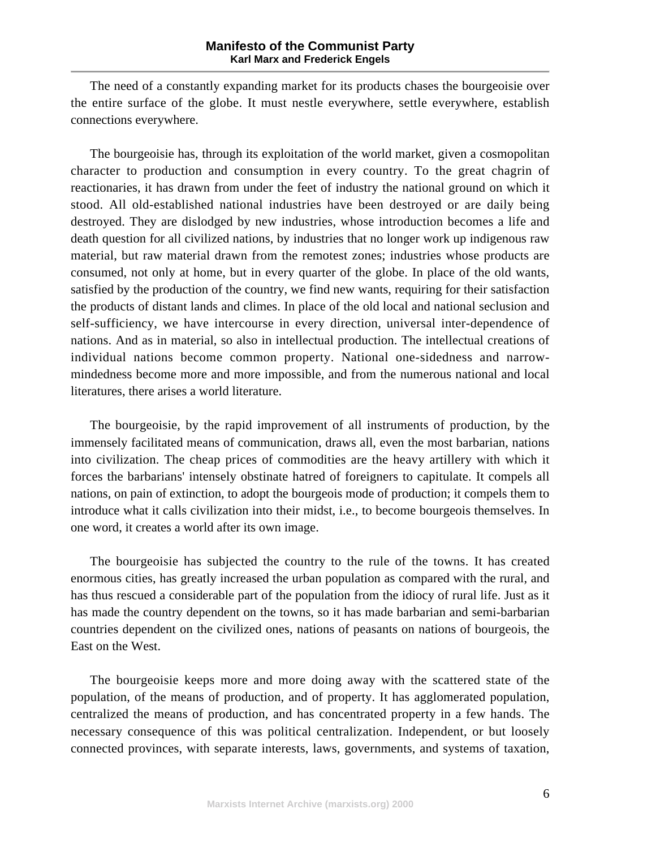The need of a constantly expanding market for its products chases the bourgeoisie over the entire surface of the globe. It must nestle everywhere, settle everywhere, establish connections everywhere.

The bourgeoisie has, through its exploitation of the world market, given a cosmopolitan character to production and consumption in every country. To the great chagrin of reactionaries, it has drawn from under the feet of industry the national ground on which it stood. All old-established national industries have been destroyed or are daily being destroyed. They are dislodged by new industries, whose introduction becomes a life and death question for all civilized nations, by industries that no longer work up indigenous raw material, but raw material drawn from the remotest zones; industries whose products are consumed, not only at home, but in every quarter of the globe. In place of the old wants, satisfied by the production of the country, we find new wants, requiring for their satisfaction the products of distant lands and climes. In place of the old local and national seclusion and self-sufficiency, we have intercourse in every direction, universal inter-dependence of nations. And as in material, so also in intellectual production. The intellectual creations of individual nations become common property. National one-sidedness and narrowmindedness become more and more impossible, and from the numerous national and local literatures, there arises a world literature.

The bourgeoisie, by the rapid improvement of all instruments of production, by the immensely facilitated means of communication, draws all, even the most barbarian, nations into civilization. The cheap prices of commodities are the heavy artillery with which it forces the barbarians' intensely obstinate hatred of foreigners to capitulate. It compels all nations, on pain of extinction, to adopt the bourgeois mode of production; it compels them to introduce what it calls civilization into their midst, i.e., to become bourgeois themselves. In one word, it creates a world after its own image.

The bourgeoisie has subjected the country to the rule of the towns. It has created enormous cities, has greatly increased the urban population as compared with the rural, and has thus rescued a considerable part of the population from the idiocy of rural life. Just as it has made the country dependent on the towns, so it has made barbarian and semi-barbarian countries dependent on the civilized ones, nations of peasants on nations of bourgeois, the East on the West.

The bourgeoisie keeps more and more doing away with the scattered state of the population, of the means of production, and of property. It has agglomerated population, centralized the means of production, and has concentrated property in a few hands. The necessary consequence of this was political centralization. Independent, or but loosely connected provinces, with separate interests, laws, governments, and systems of taxation,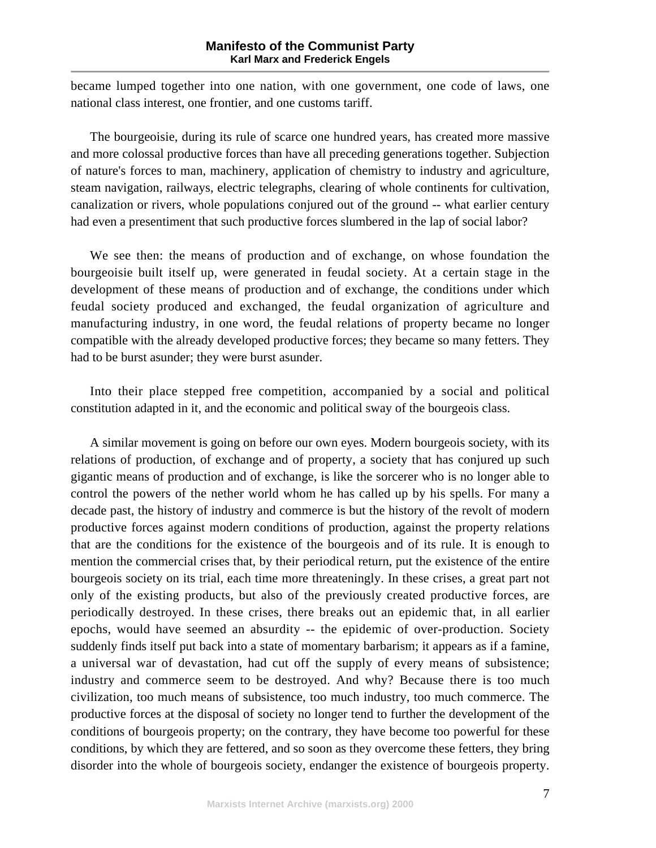became lumped together into one nation, with one government, one code of laws, one national class interest, one frontier, and one customs tariff.

The bourgeoisie, during its rule of scarce one hundred years, has created more massive and more colossal productive forces than have all preceding generations together. Subjection of nature's forces to man, machinery, application of chemistry to industry and agriculture, steam navigation, railways, electric telegraphs, clearing of whole continents for cultivation, canalization or rivers, whole populations conjured out of the ground -- what earlier century had even a presentiment that such productive forces slumbered in the lap of social labor?

We see then: the means of production and of exchange, on whose foundation the bourgeoisie built itself up, were generated in feudal society. At a certain stage in the development of these means of production and of exchange, the conditions under which feudal society produced and exchanged, the feudal organization of agriculture and manufacturing industry, in one word, the feudal relations of property became no longer compatible with the already developed productive forces; they became so many fetters. They had to be burst asunder; they were burst asunder.

Into their place stepped free competition, accompanied by a social and political constitution adapted in it, and the economic and political sway of the bourgeois class.

A similar movement is going on before our own eyes. Modern bourgeois society, with its relations of production, of exchange and of property, a society that has conjured up such gigantic means of production and of exchange, is like the sorcerer who is no longer able to control the powers of the nether world whom he has called up by his spells. For many a decade past, the history of industry and commerce is but the history of the revolt of modern productive forces against modern conditions of production, against the property relations that are the conditions for the existence of the bourgeois and of its rule. It is enough to mention the commercial crises that, by their periodical return, put the existence of the entire bourgeois society on its trial, each time more threateningly. In these crises, a great part not only of the existing products, but also of the previously created productive forces, are periodically destroyed. In these crises, there breaks out an epidemic that, in all earlier epochs, would have seemed an absurdity -- the epidemic of over-production. Society suddenly finds itself put back into a state of momentary barbarism; it appears as if a famine, a universal war of devastation, had cut off the supply of every means of subsistence; industry and commerce seem to be destroyed. And why? Because there is too much civilization, too much means of subsistence, too much industry, too much commerce. The productive forces at the disposal of society no longer tend to further the development of the conditions of bourgeois property; on the contrary, they have become too powerful for these conditions, by which they are fettered, and so soon as they overcome these fetters, they bring disorder into the whole of bourgeois society, endanger the existence of bourgeois property.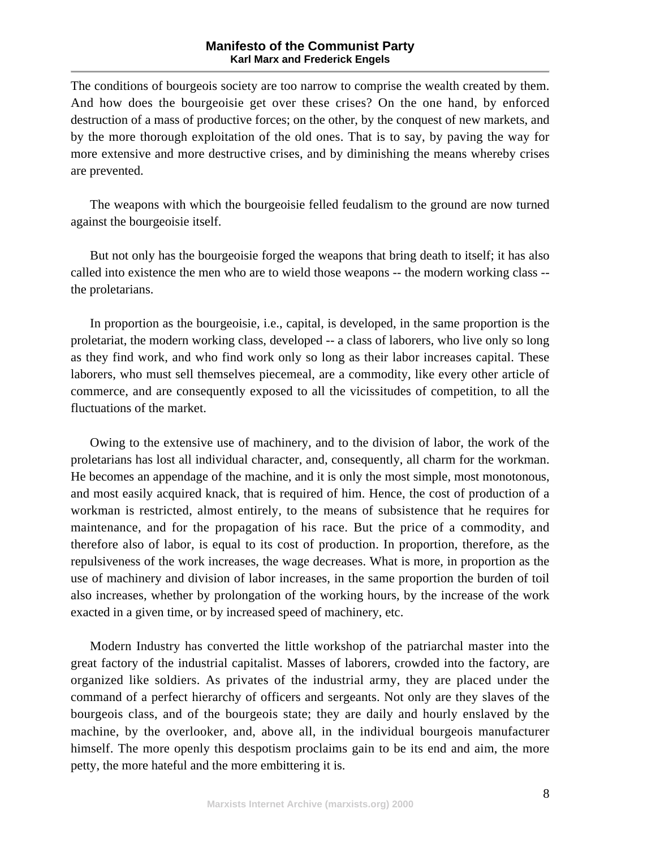The conditions of bourgeois society are too narrow to comprise the wealth created by them. And how does the bourgeoisie get over these crises? On the one hand, by enforced destruction of a mass of productive forces; on the other, by the conquest of new markets, and by the more thorough exploitation of the old ones. That is to say, by paving the way for more extensive and more destructive crises, and by diminishing the means whereby crises are prevented.

The weapons with which the bourgeoisie felled feudalism to the ground are now turned against the bourgeoisie itself.

But not only has the bourgeoisie forged the weapons that bring death to itself; it has also called into existence the men who are to wield those weapons -- the modern working class - the proletarians.

In proportion as the bourgeoisie, i.e., capital, is developed, in the same proportion is the proletariat, the modern working class, developed -- a class of laborers, who live only so long as they find work, and who find work only so long as their labor increases capital. These laborers, who must sell themselves piecemeal, are a commodity, like every other article of commerce, and are consequently exposed to all the vicissitudes of competition, to all the fluctuations of the market.

Owing to the extensive use of machinery, and to the division of labor, the work of the proletarians has lost all individual character, and, consequently, all charm for the workman. He becomes an appendage of the machine, and it is only the most simple, most monotonous, and most easily acquired knack, that is required of him. Hence, the cost of production of a workman is restricted, almost entirely, to the means of subsistence that he requires for maintenance, and for the propagation of his race. But the price of a commodity, and therefore also of labor, is equal to its cost of production. In proportion, therefore, as the repulsiveness of the work increases, the wage decreases. What is more, in proportion as the use of machinery and division of labor increases, in the same proportion the burden of toil also increases, whether by prolongation of the working hours, by the increase of the work exacted in a given time, or by increased speed of machinery, etc.

Modern Industry has converted the little workshop of the patriarchal master into the great factory of the industrial capitalist. Masses of laborers, crowded into the factory, are organized like soldiers. As privates of the industrial army, they are placed under the command of a perfect hierarchy of officers and sergeants. Not only are they slaves of the bourgeois class, and of the bourgeois state; they are daily and hourly enslaved by the machine, by the overlooker, and, above all, in the individual bourgeois manufacturer himself. The more openly this despotism proclaims gain to be its end and aim, the more petty, the more hateful and the more embittering it is.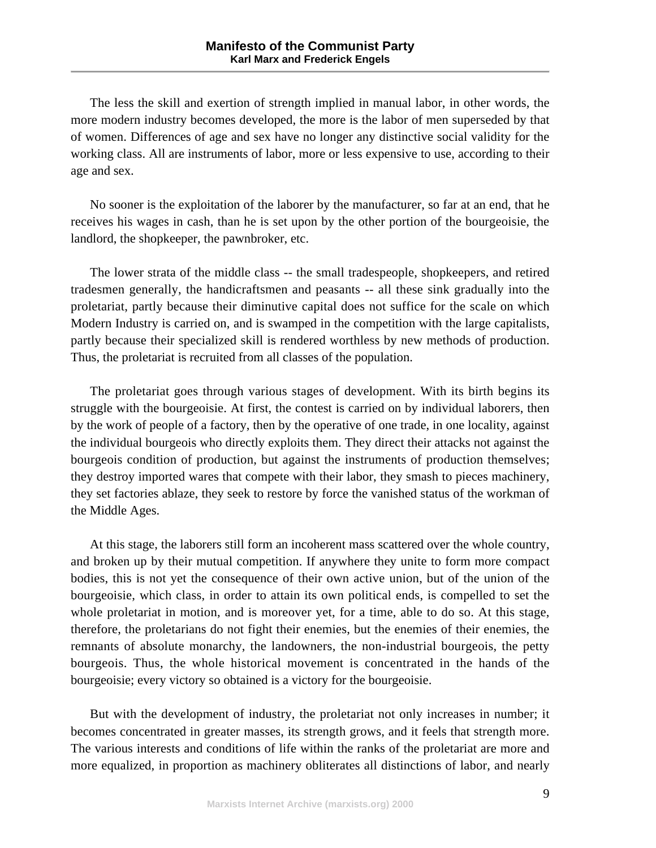The less the skill and exertion of strength implied in manual labor, in other words, the more modern industry becomes developed, the more is the labor of men superseded by that of women. Differences of age and sex have no longer any distinctive social validity for the working class. All are instruments of labor, more or less expensive to use, according to their age and sex.

No sooner is the exploitation of the laborer by the manufacturer, so far at an end, that he receives his wages in cash, than he is set upon by the other portion of the bourgeoisie, the landlord, the shopkeeper, the pawnbroker, etc.

The lower strata of the middle class -- the small tradespeople, shopkeepers, and retired tradesmen generally, the handicraftsmen and peasants -- all these sink gradually into the proletariat, partly because their diminutive capital does not suffice for the scale on which Modern Industry is carried on, and is swamped in the competition with the large capitalists, partly because their specialized skill is rendered worthless by new methods of production. Thus, the proletariat is recruited from all classes of the population.

The proletariat goes through various stages of development. With its birth begins its struggle with the bourgeoisie. At first, the contest is carried on by individual laborers, then by the work of people of a factory, then by the operative of one trade, in one locality, against the individual bourgeois who directly exploits them. They direct their attacks not against the bourgeois condition of production, but against the instruments of production themselves; they destroy imported wares that compete with their labor, they smash to pieces machinery, they set factories ablaze, they seek to restore by force the vanished status of the workman of the Middle Ages.

At this stage, the laborers still form an incoherent mass scattered over the whole country, and broken up by their mutual competition. If anywhere they unite to form more compact bodies, this is not yet the consequence of their own active union, but of the union of the bourgeoisie, which class, in order to attain its own political ends, is compelled to set the whole proletariat in motion, and is moreover yet, for a time, able to do so. At this stage, therefore, the proletarians do not fight their enemies, but the enemies of their enemies, the remnants of absolute monarchy, the landowners, the non-industrial bourgeois, the petty bourgeois. Thus, the whole historical movement is concentrated in the hands of the bourgeoisie; every victory so obtained is a victory for the bourgeoisie.

But with the development of industry, the proletariat not only increases in number; it becomes concentrated in greater masses, its strength grows, and it feels that strength more. The various interests and conditions of life within the ranks of the proletariat are more and more equalized, in proportion as machinery obliterates all distinctions of labor, and nearly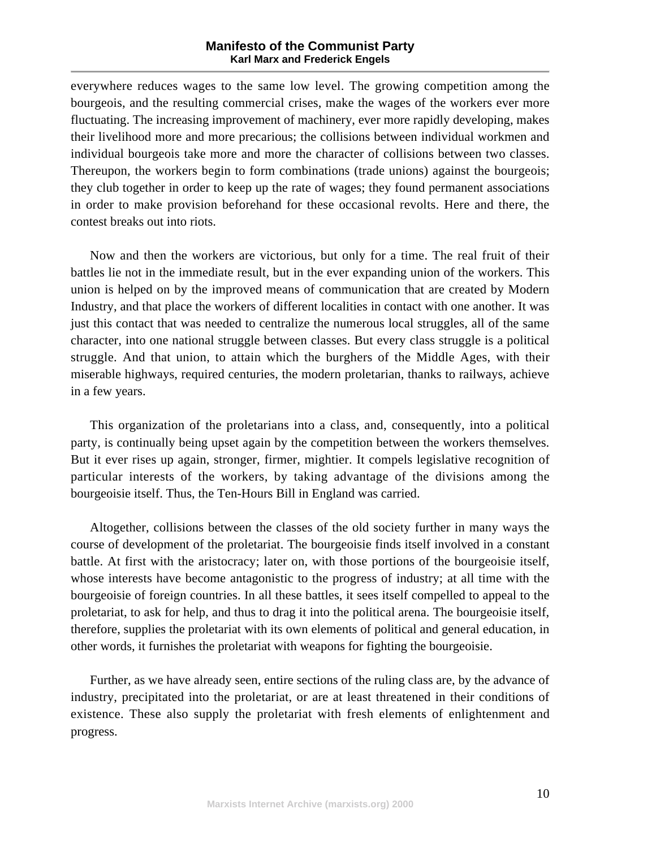everywhere reduces wages to the same low level. The growing competition among the bourgeois, and the resulting commercial crises, make the wages of the workers ever more fluctuating. The increasing improvement of machinery, ever more rapidly developing, makes their livelihood more and more precarious; the collisions between individual workmen and individual bourgeois take more and more the character of collisions between two classes. Thereupon, the workers begin to form combinations (trade unions) against the bourgeois; they club together in order to keep up the rate of wages; they found permanent associations in order to make provision beforehand for these occasional revolts. Here and there, the contest breaks out into riots.

Now and then the workers are victorious, but only for a time. The real fruit of their battles lie not in the immediate result, but in the ever expanding union of the workers. This union is helped on by the improved means of communication that are created by Modern Industry, and that place the workers of different localities in contact with one another. It was just this contact that was needed to centralize the numerous local struggles, all of the same character, into one national struggle between classes. But every class struggle is a political struggle. And that union, to attain which the burghers of the Middle Ages, with their miserable highways, required centuries, the modern proletarian, thanks to railways, achieve in a few years.

This organization of the proletarians into a class, and, consequently, into a political party, is continually being upset again by the competition between the workers themselves. But it ever rises up again, stronger, firmer, mightier. It compels legislative recognition of particular interests of the workers, by taking advantage of the divisions among the bourgeoisie itself. Thus, the Ten-Hours Bill in England was carried.

Altogether, collisions between the classes of the old society further in many ways the course of development of the proletariat. The bourgeoisie finds itself involved in a constant battle. At first with the aristocracy; later on, with those portions of the bourgeoisie itself, whose interests have become antagonistic to the progress of industry; at all time with the bourgeoisie of foreign countries. In all these battles, it sees itself compelled to appeal to the proletariat, to ask for help, and thus to drag it into the political arena. The bourgeoisie itself, therefore, supplies the proletariat with its own elements of political and general education, in other words, it furnishes the proletariat with weapons for fighting the bourgeoisie.

Further, as we have already seen, entire sections of the ruling class are, by the advance of industry, precipitated into the proletariat, or are at least threatened in their conditions of existence. These also supply the proletariat with fresh elements of enlightenment and progress.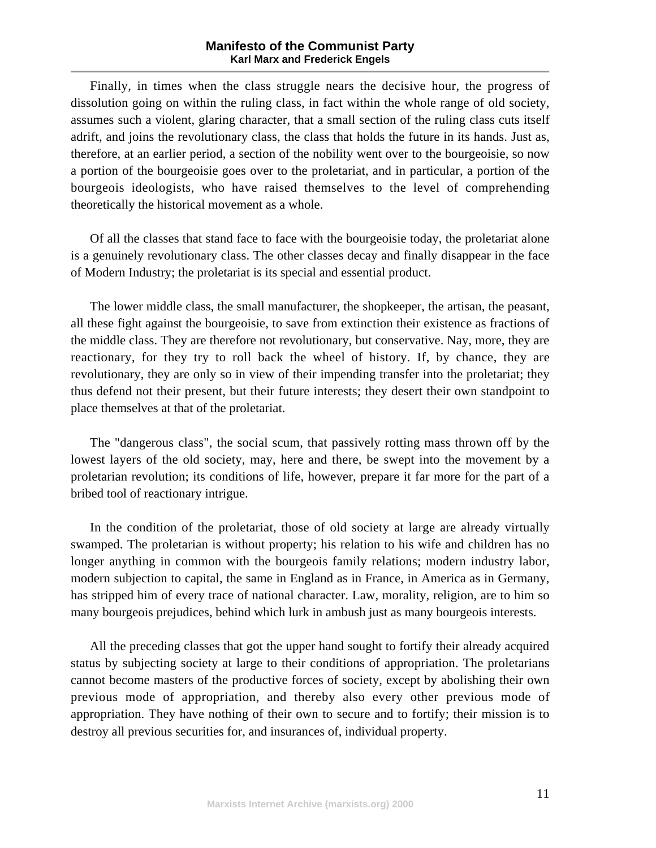Finally, in times when the class struggle nears the decisive hour, the progress of dissolution going on within the ruling class, in fact within the whole range of old society, assumes such a violent, glaring character, that a small section of the ruling class cuts itself adrift, and joins the revolutionary class, the class that holds the future in its hands. Just as, therefore, at an earlier period, a section of the nobility went over to the bourgeoisie, so now a portion of the bourgeoisie goes over to the proletariat, and in particular, a portion of the bourgeois ideologists, who have raised themselves to the level of comprehending theoretically the historical movement as a whole.

Of all the classes that stand face to face with the bourgeoisie today, the proletariat alone is a genuinely revolutionary class. The other classes decay and finally disappear in the face of Modern Industry; the proletariat is its special and essential product.

The lower middle class, the small manufacturer, the shopkeeper, the artisan, the peasant, all these fight against the bourgeoisie, to save from extinction their existence as fractions of the middle class. They are therefore not revolutionary, but conservative. Nay, more, they are reactionary, for they try to roll back the wheel of history. If, by chance, they are revolutionary, they are only so in view of their impending transfer into the proletariat; they thus defend not their present, but their future interests; they desert their own standpoint to place themselves at that of the proletariat.

The "dangerous class", the social scum, that passively rotting mass thrown off by the lowest layers of the old society, may, here and there, be swept into the movement by a proletarian revolution; its conditions of life, however, prepare it far more for the part of a bribed tool of reactionary intrigue.

In the condition of the proletariat, those of old society at large are already virtually swamped. The proletarian is without property; his relation to his wife and children has no longer anything in common with the bourgeois family relations; modern industry labor, modern subjection to capital, the same in England as in France, in America as in Germany, has stripped him of every trace of national character. Law, morality, religion, are to him so many bourgeois prejudices, behind which lurk in ambush just as many bourgeois interests.

All the preceding classes that got the upper hand sought to fortify their already acquired status by subjecting society at large to their conditions of appropriation. The proletarians cannot become masters of the productive forces of society, except by abolishing their own previous mode of appropriation, and thereby also every other previous mode of appropriation. They have nothing of their own to secure and to fortify; their mission is to destroy all previous securities for, and insurances of, individual property.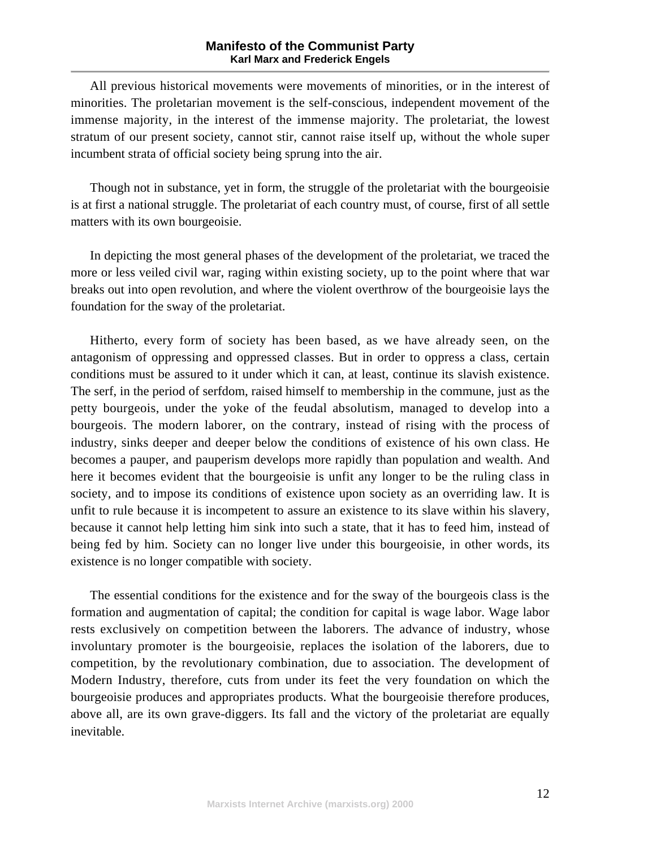All previous historical movements were movements of minorities, or in the interest of minorities. The proletarian movement is the self-conscious, independent movement of the immense majority, in the interest of the immense majority. The proletariat, the lowest stratum of our present society, cannot stir, cannot raise itself up, without the whole super incumbent strata of official society being sprung into the air.

Though not in substance, yet in form, the struggle of the proletariat with the bourgeoisie is at first a national struggle. The proletariat of each country must, of course, first of all settle matters with its own bourgeoisie.

In depicting the most general phases of the development of the proletariat, we traced the more or less veiled civil war, raging within existing society, up to the point where that war breaks out into open revolution, and where the violent overthrow of the bourgeoisie lays the foundation for the sway of the proletariat.

Hitherto, every form of society has been based, as we have already seen, on the antagonism of oppressing and oppressed classes. But in order to oppress a class, certain conditions must be assured to it under which it can, at least, continue its slavish existence. The serf, in the period of serfdom, raised himself to membership in the commune, just as the petty bourgeois, under the yoke of the feudal absolutism, managed to develop into a bourgeois. The modern laborer, on the contrary, instead of rising with the process of industry, sinks deeper and deeper below the conditions of existence of his own class. He becomes a pauper, and pauperism develops more rapidly than population and wealth. And here it becomes evident that the bourgeoisie is unfit any longer to be the ruling class in society, and to impose its conditions of existence upon society as an overriding law. It is unfit to rule because it is incompetent to assure an existence to its slave within his slavery, because it cannot help letting him sink into such a state, that it has to feed him, instead of being fed by him. Society can no longer live under this bourgeoisie, in other words, its existence is no longer compatible with society.

The essential conditions for the existence and for the sway of the bourgeois class is the formation and augmentation of capital; the condition for capital is wage labor. Wage labor rests exclusively on competition between the laborers. The advance of industry, whose involuntary promoter is the bourgeoisie, replaces the isolation of the laborers, due to competition, by the revolutionary combination, due to association. The development of Modern Industry, therefore, cuts from under its feet the very foundation on which the bourgeoisie produces and appropriates products. What the bourgeoisie therefore produces, above all, are its own grave-diggers. Its fall and the victory of the proletariat are equally inevitable.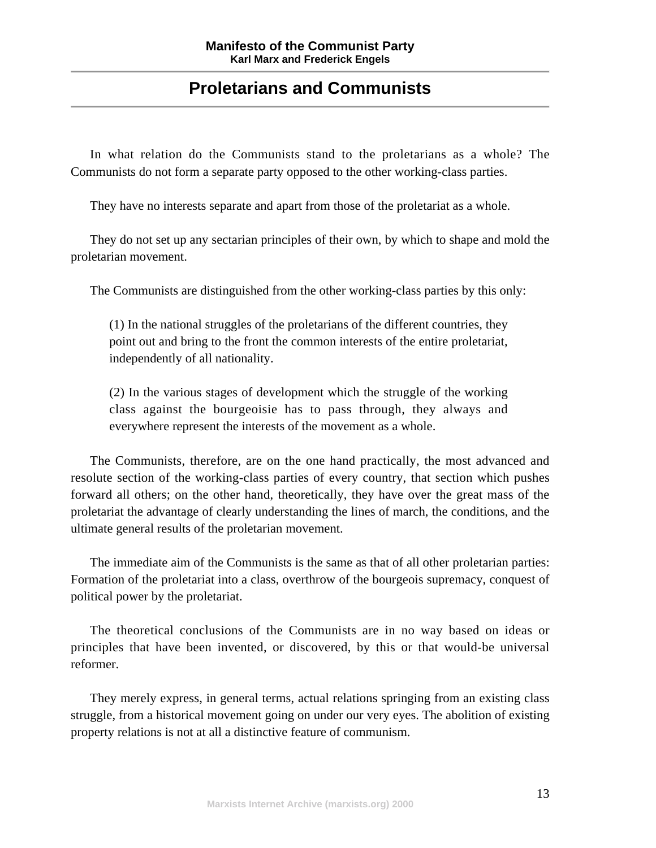## **Proletarians and Communists**

In what relation do the Communists stand to the proletarians as a whole? The Communists do not form a separate party opposed to the other working-class parties.

They have no interests separate and apart from those of the proletariat as a whole.

They do not set up any sectarian principles of their own, by which to shape and mold the proletarian movement.

The Communists are distinguished from the other working-class parties by this only:

(1) In the national struggles of the proletarians of the different countries, they point out and bring to the front the common interests of the entire proletariat, independently of all nationality.

(2) In the various stages of development which the struggle of the working class against the bourgeoisie has to pass through, they always and everywhere represent the interests of the movement as a whole.

The Communists, therefore, are on the one hand practically, the most advanced and resolute section of the working-class parties of every country, that section which pushes forward all others; on the other hand, theoretically, they have over the great mass of the proletariat the advantage of clearly understanding the lines of march, the conditions, and the ultimate general results of the proletarian movement.

The immediate aim of the Communists is the same as that of all other proletarian parties: Formation of the proletariat into a class, overthrow of the bourgeois supremacy, conquest of political power by the proletariat.

The theoretical conclusions of the Communists are in no way based on ideas or principles that have been invented, or discovered, by this or that would-be universal reformer.

They merely express, in general terms, actual relations springing from an existing class struggle, from a historical movement going on under our very eyes. The abolition of existing property relations is not at all a distinctive feature of communism.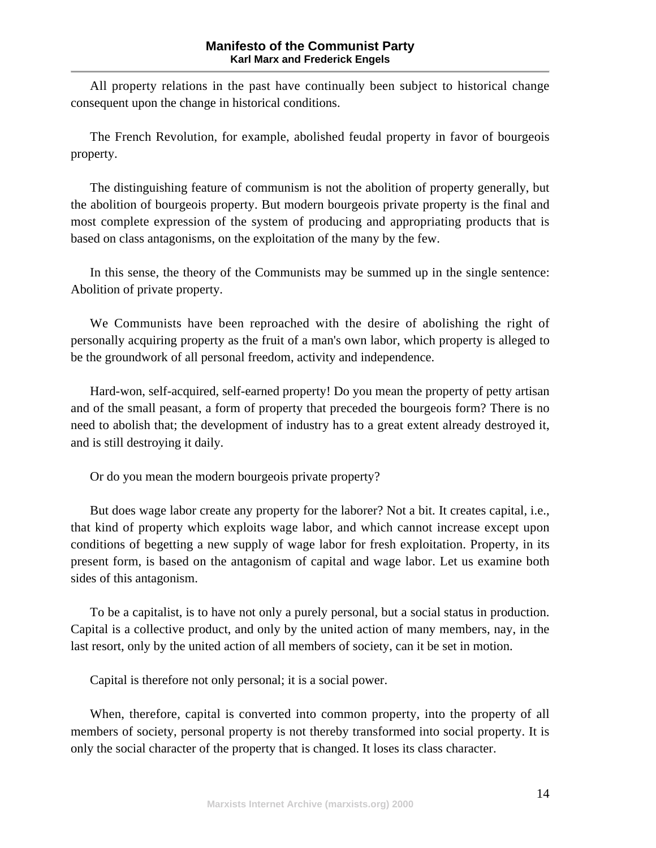All property relations in the past have continually been subject to historical change consequent upon the change in historical conditions.

The French Revolution, for example, abolished feudal property in favor of bourgeois property.

The distinguishing feature of communism is not the abolition of property generally, but the abolition of bourgeois property. But modern bourgeois private property is the final and most complete expression of the system of producing and appropriating products that is based on class antagonisms, on the exploitation of the many by the few.

In this sense, the theory of the Communists may be summed up in the single sentence: Abolition of private property.

We Communists have been reproached with the desire of abolishing the right of personally acquiring property as the fruit of a man's own labor, which property is alleged to be the groundwork of all personal freedom, activity and independence.

Hard-won, self-acquired, self-earned property! Do you mean the property of petty artisan and of the small peasant, a form of property that preceded the bourgeois form? There is no need to abolish that; the development of industry has to a great extent already destroyed it, and is still destroying it daily.

Or do you mean the modern bourgeois private property?

But does wage labor create any property for the laborer? Not a bit. It creates capital, i.e., that kind of property which exploits wage labor, and which cannot increase except upon conditions of begetting a new supply of wage labor for fresh exploitation. Property, in its present form, is based on the antagonism of capital and wage labor. Let us examine both sides of this antagonism.

To be a capitalist, is to have not only a purely personal, but a social status in production. Capital is a collective product, and only by the united action of many members, nay, in the last resort, only by the united action of all members of society, can it be set in motion.

Capital is therefore not only personal; it is a social power.

When, therefore, capital is converted into common property, into the property of all members of society, personal property is not thereby transformed into social property. It is only the social character of the property that is changed. It loses its class character.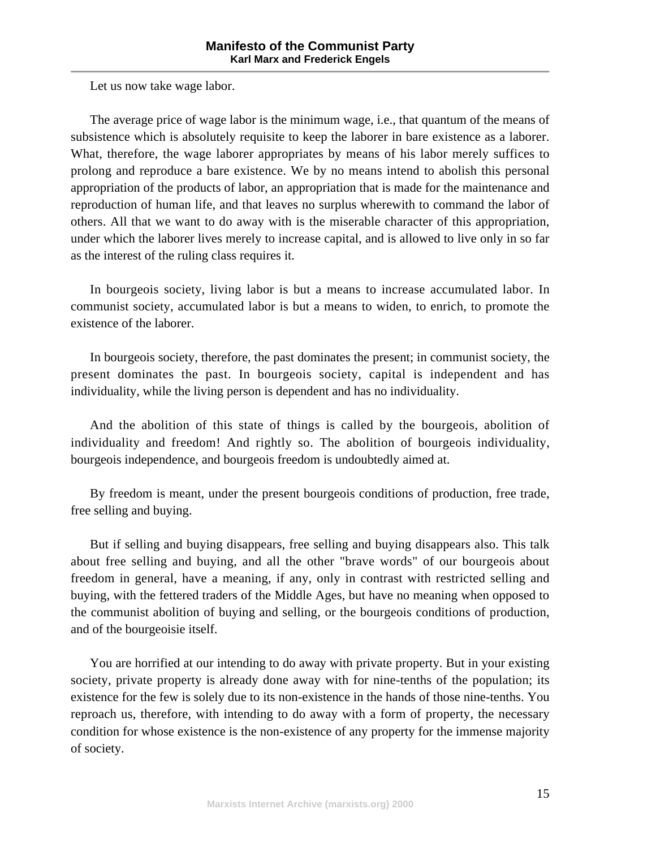Let us now take wage labor.

The average price of wage labor is the minimum wage, i.e., that quantum of the means of subsistence which is absolutely requisite to keep the laborer in bare existence as a laborer. What, therefore, the wage laborer appropriates by means of his labor merely suffices to prolong and reproduce a bare existence. We by no means intend to abolish this personal appropriation of the products of labor, an appropriation that is made for the maintenance and reproduction of human life, and that leaves no surplus wherewith to command the labor of others. All that we want to do away with is the miserable character of this appropriation, under which the laborer lives merely to increase capital, and is allowed to live only in so far as the interest of the ruling class requires it.

In bourgeois society, living labor is but a means to increase accumulated labor. In communist society, accumulated labor is but a means to widen, to enrich, to promote the existence of the laborer.

In bourgeois society, therefore, the past dominates the present; in communist society, the present dominates the past. In bourgeois society, capital is independent and has individuality, while the living person is dependent and has no individuality.

And the abolition of this state of things is called by the bourgeois, abolition of individuality and freedom! And rightly so. The abolition of bourgeois individuality, bourgeois independence, and bourgeois freedom is undoubtedly aimed at.

By freedom is meant, under the present bourgeois conditions of production, free trade, free selling and buying.

But if selling and buying disappears, free selling and buying disappears also. This talk about free selling and buying, and all the other "brave words" of our bourgeois about freedom in general, have a meaning, if any, only in contrast with restricted selling and buying, with the fettered traders of the Middle Ages, but have no meaning when opposed to the communist abolition of buying and selling, or the bourgeois conditions of production, and of the bourgeoisie itself.

You are horrified at our intending to do away with private property. But in your existing society, private property is already done away with for nine-tenths of the population; its existence for the few is solely due to its non-existence in the hands of those nine-tenths. You reproach us, therefore, with intending to do away with a form of property, the necessary condition for whose existence is the non-existence of any property for the immense majority of society.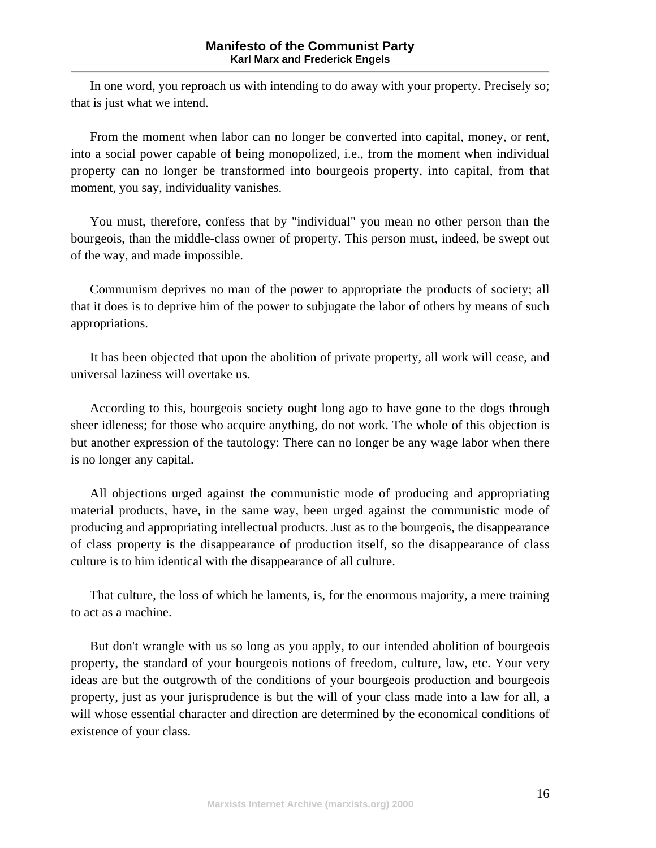In one word, you reproach us with intending to do away with your property. Precisely so; that is just what we intend.

From the moment when labor can no longer be converted into capital, money, or rent, into a social power capable of being monopolized, i.e., from the moment when individual property can no longer be transformed into bourgeois property, into capital, from that moment, you say, individuality vanishes.

You must, therefore, confess that by "individual" you mean no other person than the bourgeois, than the middle-class owner of property. This person must, indeed, be swept out of the way, and made impossible.

Communism deprives no man of the power to appropriate the products of society; all that it does is to deprive him of the power to subjugate the labor of others by means of such appropriations.

It has been objected that upon the abolition of private property, all work will cease, and universal laziness will overtake us.

According to this, bourgeois society ought long ago to have gone to the dogs through sheer idleness; for those who acquire anything, do not work. The whole of this objection is but another expression of the tautology: There can no longer be any wage labor when there is no longer any capital.

All objections urged against the communistic mode of producing and appropriating material products, have, in the same way, been urged against the communistic mode of producing and appropriating intellectual products. Just as to the bourgeois, the disappearance of class property is the disappearance of production itself, so the disappearance of class culture is to him identical with the disappearance of all culture.

That culture, the loss of which he laments, is, for the enormous majority, a mere training to act as a machine.

But don't wrangle with us so long as you apply, to our intended abolition of bourgeois property, the standard of your bourgeois notions of freedom, culture, law, etc. Your very ideas are but the outgrowth of the conditions of your bourgeois production and bourgeois property, just as your jurisprudence is but the will of your class made into a law for all, a will whose essential character and direction are determined by the economical conditions of existence of your class.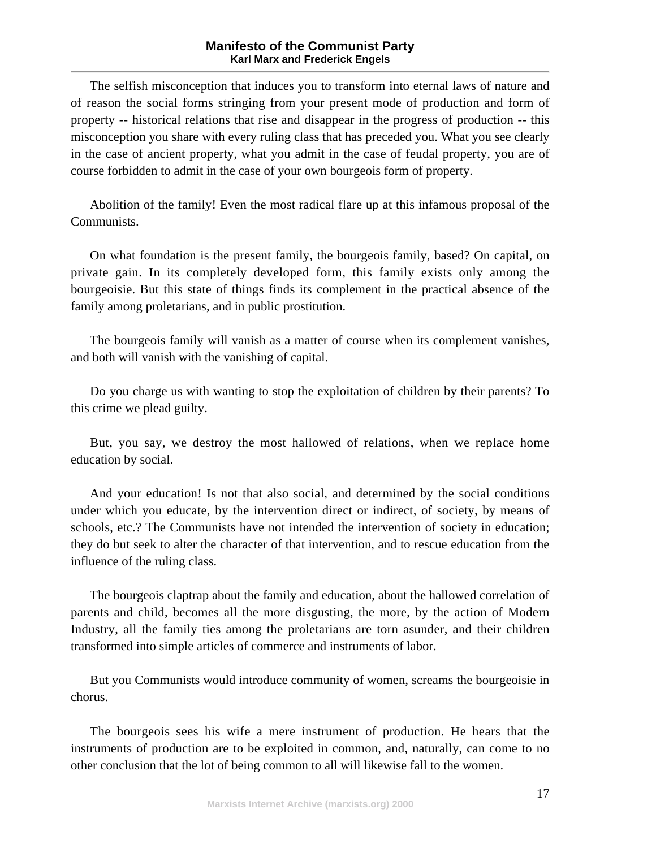The selfish misconception that induces you to transform into eternal laws of nature and of reason the social forms stringing from your present mode of production and form of property -- historical relations that rise and disappear in the progress of production -- this misconception you share with every ruling class that has preceded you. What you see clearly in the case of ancient property, what you admit in the case of feudal property, you are of course forbidden to admit in the case of your own bourgeois form of property.

Abolition of the family! Even the most radical flare up at this infamous proposal of the **Communists** 

On what foundation is the present family, the bourgeois family, based? On capital, on private gain. In its completely developed form, this family exists only among the bourgeoisie. But this state of things finds its complement in the practical absence of the family among proletarians, and in public prostitution.

The bourgeois family will vanish as a matter of course when its complement vanishes, and both will vanish with the vanishing of capital.

Do you charge us with wanting to stop the exploitation of children by their parents? To this crime we plead guilty.

But, you say, we destroy the most hallowed of relations, when we replace home education by social.

And your education! Is not that also social, and determined by the social conditions under which you educate, by the intervention direct or indirect, of society, by means of schools, etc.? The Communists have not intended the intervention of society in education; they do but seek to alter the character of that intervention, and to rescue education from the influence of the ruling class.

The bourgeois claptrap about the family and education, about the hallowed correlation of parents and child, becomes all the more disgusting, the more, by the action of Modern Industry, all the family ties among the proletarians are torn asunder, and their children transformed into simple articles of commerce and instruments of labor.

But you Communists would introduce community of women, screams the bourgeoisie in chorus.

The bourgeois sees his wife a mere instrument of production. He hears that the instruments of production are to be exploited in common, and, naturally, can come to no other conclusion that the lot of being common to all will likewise fall to the women.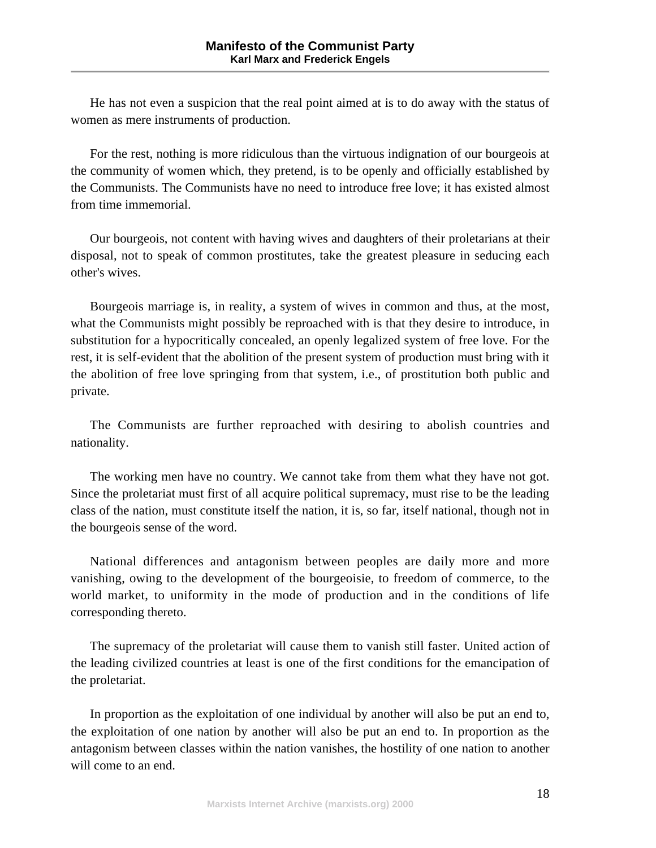He has not even a suspicion that the real point aimed at is to do away with the status of women as mere instruments of production.

For the rest, nothing is more ridiculous than the virtuous indignation of our bourgeois at the community of women which, they pretend, is to be openly and officially established by the Communists. The Communists have no need to introduce free love; it has existed almost from time immemorial.

Our bourgeois, not content with having wives and daughters of their proletarians at their disposal, not to speak of common prostitutes, take the greatest pleasure in seducing each other's wives.

Bourgeois marriage is, in reality, a system of wives in common and thus, at the most, what the Communists might possibly be reproached with is that they desire to introduce, in substitution for a hypocritically concealed, an openly legalized system of free love. For the rest, it is self-evident that the abolition of the present system of production must bring with it the abolition of free love springing from that system, i.e., of prostitution both public and private.

The Communists are further reproached with desiring to abolish countries and nationality.

The working men have no country. We cannot take from them what they have not got. Since the proletariat must first of all acquire political supremacy, must rise to be the leading class of the nation, must constitute itself the nation, it is, so far, itself national, though not in the bourgeois sense of the word.

National differences and antagonism between peoples are daily more and more vanishing, owing to the development of the bourgeoisie, to freedom of commerce, to the world market, to uniformity in the mode of production and in the conditions of life corresponding thereto.

The supremacy of the proletariat will cause them to vanish still faster. United action of the leading civilized countries at least is one of the first conditions for the emancipation of the proletariat.

In proportion as the exploitation of one individual by another will also be put an end to, the exploitation of one nation by another will also be put an end to. In proportion as the antagonism between classes within the nation vanishes, the hostility of one nation to another will come to an end.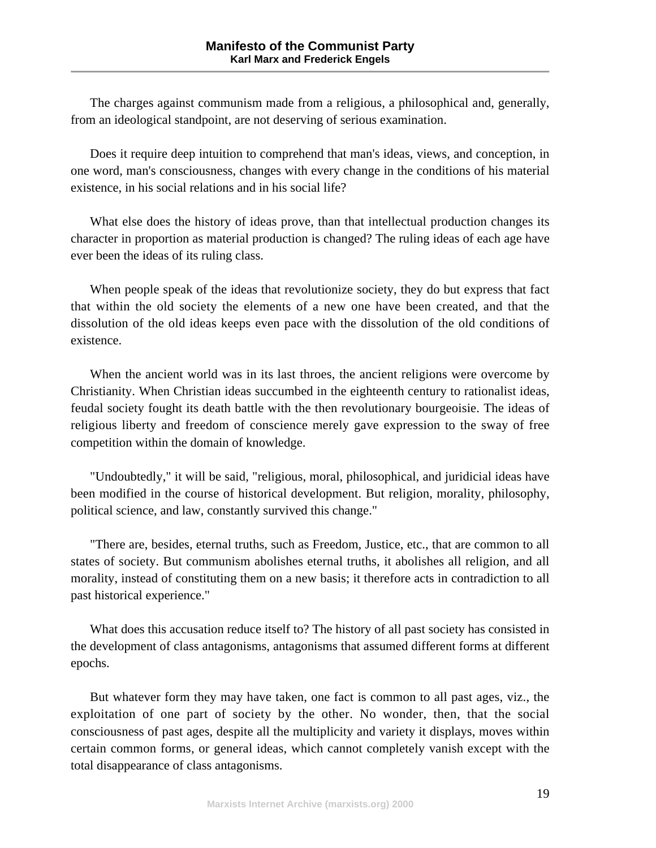The charges against communism made from a religious, a philosophical and, generally, from an ideological standpoint, are not deserving of serious examination.

Does it require deep intuition to comprehend that man's ideas, views, and conception, in one word, man's consciousness, changes with every change in the conditions of his material existence, in his social relations and in his social life?

What else does the history of ideas prove, than that intellectual production changes its character in proportion as material production is changed? The ruling ideas of each age have ever been the ideas of its ruling class.

When people speak of the ideas that revolutionize society, they do but express that fact that within the old society the elements of a new one have been created, and that the dissolution of the old ideas keeps even pace with the dissolution of the old conditions of existence.

When the ancient world was in its last throes, the ancient religions were overcome by Christianity. When Christian ideas succumbed in the eighteenth century to rationalist ideas, feudal society fought its death battle with the then revolutionary bourgeoisie. The ideas of religious liberty and freedom of conscience merely gave expression to the sway of free competition within the domain of knowledge.

"Undoubtedly," it will be said, "religious, moral, philosophical, and juridicial ideas have been modified in the course of historical development. But religion, morality, philosophy, political science, and law, constantly survived this change."

"There are, besides, eternal truths, such as Freedom, Justice, etc., that are common to all states of society. But communism abolishes eternal truths, it abolishes all religion, and all morality, instead of constituting them on a new basis; it therefore acts in contradiction to all past historical experience."

What does this accusation reduce itself to? The history of all past society has consisted in the development of class antagonisms, antagonisms that assumed different forms at different epochs.

But whatever form they may have taken, one fact is common to all past ages, viz., the exploitation of one part of society by the other. No wonder, then, that the social consciousness of past ages, despite all the multiplicity and variety it displays, moves within certain common forms, or general ideas, which cannot completely vanish except with the total disappearance of class antagonisms.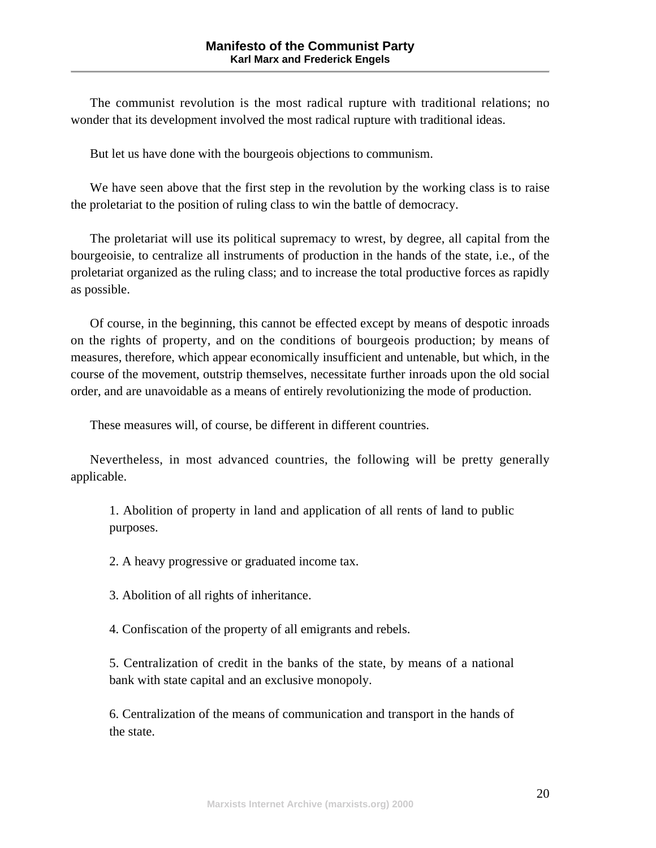The communist revolution is the most radical rupture with traditional relations; no wonder that its development involved the most radical rupture with traditional ideas.

But let us have done with the bourgeois objections to communism.

We have seen above that the first step in the revolution by the working class is to raise the proletariat to the position of ruling class to win the battle of democracy.

The proletariat will use its political supremacy to wrest, by degree, all capital from the bourgeoisie, to centralize all instruments of production in the hands of the state, i.e., of the proletariat organized as the ruling class; and to increase the total productive forces as rapidly as possible.

Of course, in the beginning, this cannot be effected except by means of despotic inroads on the rights of property, and on the conditions of bourgeois production; by means of measures, therefore, which appear economically insufficient and untenable, but which, in the course of the movement, outstrip themselves, necessitate further inroads upon the old social order, and are unavoidable as a means of entirely revolutionizing the mode of production.

These measures will, of course, be different in different countries.

Nevertheless, in most advanced countries, the following will be pretty generally applicable.

1. Abolition of property in land and application of all rents of land to public purposes.

2. A heavy progressive or graduated income tax.

3. Abolition of all rights of inheritance.

4. Confiscation of the property of all emigrants and rebels.

5. Centralization of credit in the banks of the state, by means of a national bank with state capital and an exclusive monopoly.

6. Centralization of the means of communication and transport in the hands of the state.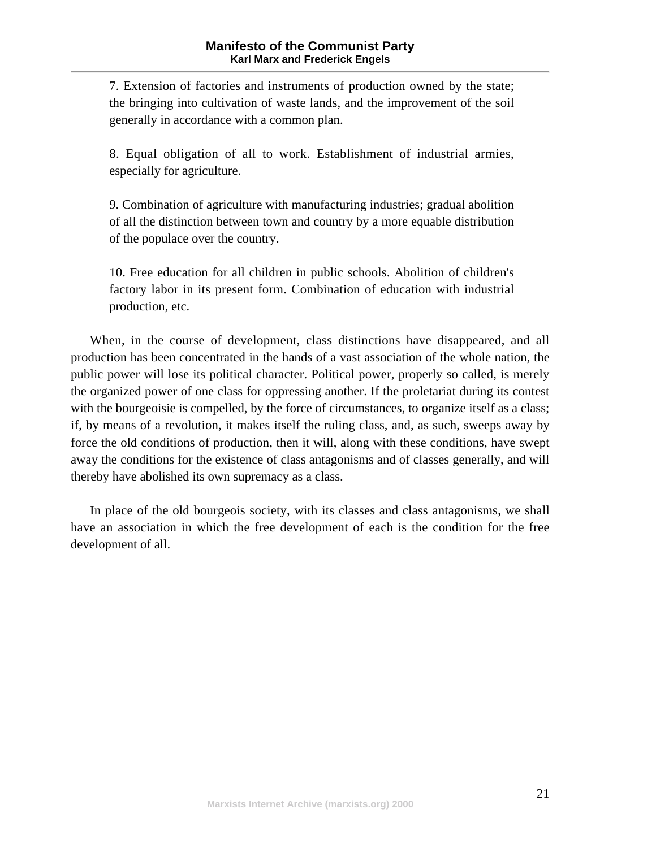7. Extension of factories and instruments of production owned by the state; the bringing into cultivation of waste lands, and the improvement of the soil generally in accordance with a common plan.

8. Equal obligation of all to work. Establishment of industrial armies, especially for agriculture.

9. Combination of agriculture with manufacturing industries; gradual abolition of all the distinction between town and country by a more equable distribution of the populace over the country.

10. Free education for all children in public schools. Abolition of children's factory labor in its present form. Combination of education with industrial production, etc.

When, in the course of development, class distinctions have disappeared, and all production has been concentrated in the hands of a vast association of the whole nation, the public power will lose its political character. Political power, properly so called, is merely the organized power of one class for oppressing another. If the proletariat during its contest with the bourgeoisie is compelled, by the force of circumstances, to organize itself as a class; if, by means of a revolution, it makes itself the ruling class, and, as such, sweeps away by force the old conditions of production, then it will, along with these conditions, have swept away the conditions for the existence of class antagonisms and of classes generally, and will thereby have abolished its own supremacy as a class.

In place of the old bourgeois society, with its classes and class antagonisms, we shall have an association in which the free development of each is the condition for the free development of all.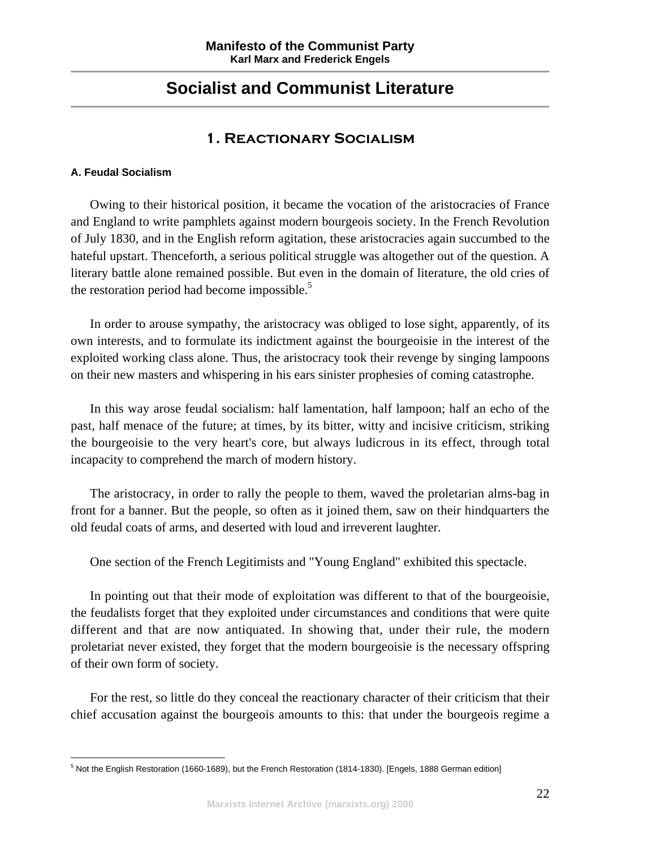## **Socialist and Communist Literature**

## **1. Reactionary Socialism**

#### **A. Feudal Socialism**

Owing to their historical position, it became the vocation of the aristocracies of France and England to write pamphlets against modern bourgeois society. In the French Revolution of July 1830, and in the English reform agitation, these aristocracies again succumbed to the hateful upstart. Thenceforth, a serious political struggle was altogether out of the question. A literary battle alone remained possible. But even in the domain of literature, the old cries of the restoration period had become impossible.<sup>5</sup>

In order to arouse sympathy, the aristocracy was obliged to lose sight, apparently, of its own interests, and to formulate its indictment against the bourgeoisie in the interest of the exploited working class alone. Thus, the aristocracy took their revenge by singing lampoons on their new masters and whispering in his ears sinister prophesies of coming catastrophe.

In this way arose feudal socialism: half lamentation, half lampoon; half an echo of the past, half menace of the future; at times, by its bitter, witty and incisive criticism, striking the bourgeoisie to the very heart's core, but always ludicrous in its effect, through total incapacity to comprehend the march of modern history.

The aristocracy, in order to rally the people to them, waved the proletarian alms-bag in front for a banner. But the people, so often as it joined them, saw on their hindquarters the old feudal coats of arms, and deserted with loud and irreverent laughter.

One section of the French Legitimists and "Young England" exhibited this spectacle.

In pointing out that their mode of exploitation was different to that of the bourgeoisie, the feudalists forget that they exploited under circumstances and conditions that were quite different and that are now antiquated. In showing that, under their rule, the modern proletariat never existed, they forget that the modern bourgeoisie is the necessary offspring of their own form of society.

For the rest, so little do they conceal the reactionary character of their criticism that their chief accusation against the bourgeois amounts to this: that under the bourgeois regime a

 5 Not the English Restoration (1660-1689), but the French Restoration (1814-1830). [Engels, 1888 German edition]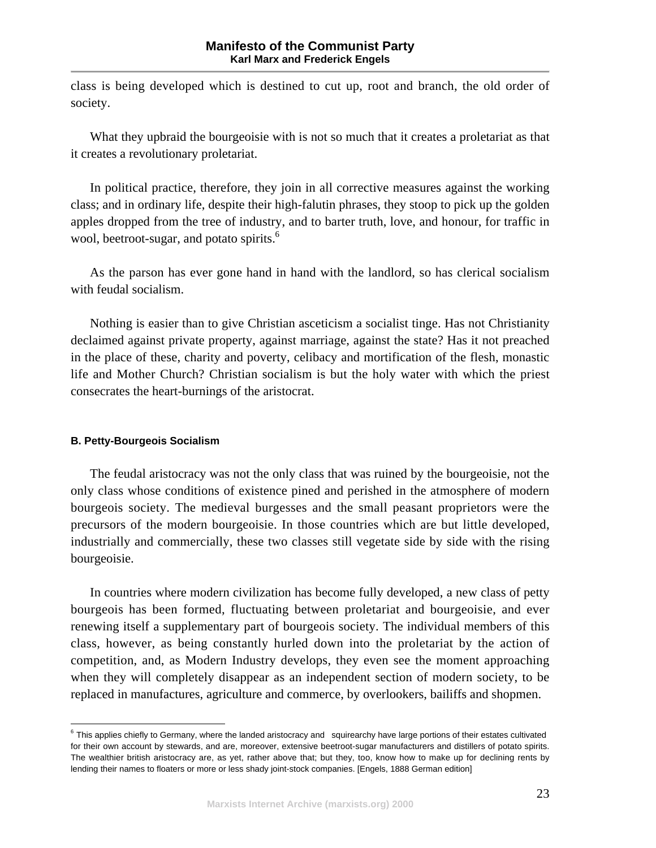class is being developed which is destined to cut up, root and branch, the old order of society.

What they upbraid the bourgeoisie with is not so much that it creates a proletariat as that it creates a revolutionary proletariat.

In political practice, therefore, they join in all corrective measures against the working class; and in ordinary life, despite their high-falutin phrases, they stoop to pick up the golden apples dropped from the tree of industry, and to barter truth, love, and honour, for traffic in wool, beetroot-sugar, and potato spirits.<sup>6</sup>

As the parson has ever gone hand in hand with the landlord, so has clerical socialism with feudal socialism.

Nothing is easier than to give Christian asceticism a socialist tinge. Has not Christianity declaimed against private property, against marriage, against the state? Has it not preached in the place of these, charity and poverty, celibacy and mortification of the flesh, monastic life and Mother Church? Christian socialism is but the holy water with which the priest consecrates the heart-burnings of the aristocrat.

#### **B. Petty-Bourgeois Socialism**

 $\overline{a}$ 

The feudal aristocracy was not the only class that was ruined by the bourgeoisie, not the only class whose conditions of existence pined and perished in the atmosphere of modern bourgeois society. The medieval burgesses and the small peasant proprietors were the precursors of the modern bourgeoisie. In those countries which are but little developed, industrially and commercially, these two classes still vegetate side by side with the rising bourgeoisie.

In countries where modern civilization has become fully developed, a new class of petty bourgeois has been formed, fluctuating between proletariat and bourgeoisie, and ever renewing itself a supplementary part of bourgeois society. The individual members of this class, however, as being constantly hurled down into the proletariat by the action of competition, and, as Modern Industry develops, they even see the moment approaching when they will completely disappear as an independent section of modern society, to be replaced in manufactures, agriculture and commerce, by overlookers, bailiffs and shopmen.

<sup>&</sup>lt;sup>6</sup> This applies chiefly to Germany, where the landed aristocracy and squirearchy have large portions of their estates cultivated for their own account by stewards, and are, moreover, extensive beetroot-sugar manufacturers and distillers of potato spirits. The wealthier british aristocracy are, as yet, rather above that; but they, too, know how to make up for declining rents by lending their names to floaters or more or less shady joint-stock companies. [Engels, 1888 German edition]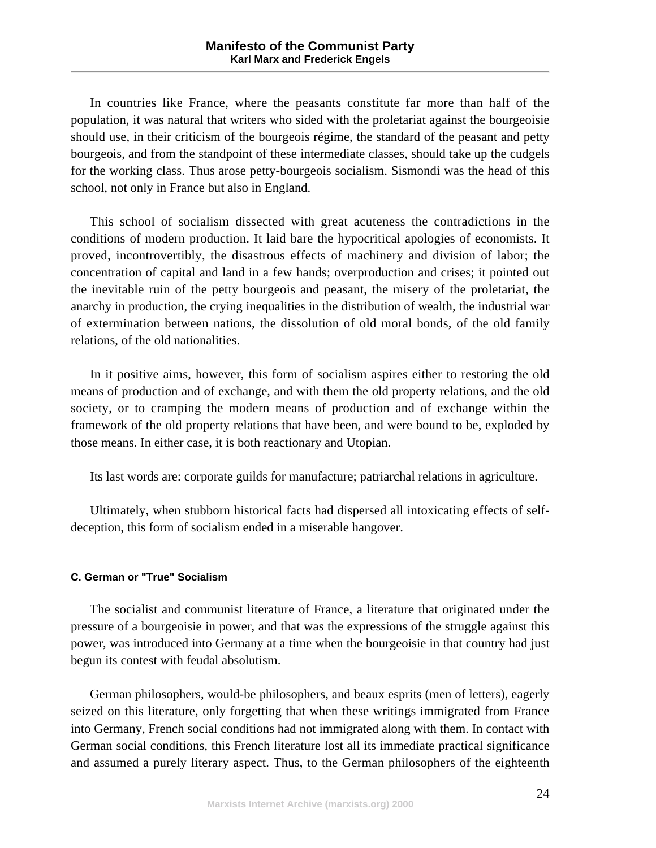In countries like France, where the peasants constitute far more than half of the population, it was natural that writers who sided with the proletariat against the bourgeoisie should use, in their criticism of the bourgeois régime, the standard of the peasant and petty bourgeois, and from the standpoint of these intermediate classes, should take up the cudgels for the working class. Thus arose petty-bourgeois socialism. Sismondi was the head of this school, not only in France but also in England.

This school of socialism dissected with great acuteness the contradictions in the conditions of modern production. It laid bare the hypocritical apologies of economists. It proved, incontrovertibly, the disastrous effects of machinery and division of labor; the concentration of capital and land in a few hands; overproduction and crises; it pointed out the inevitable ruin of the petty bourgeois and peasant, the misery of the proletariat, the anarchy in production, the crying inequalities in the distribution of wealth, the industrial war of extermination between nations, the dissolution of old moral bonds, of the old family relations, of the old nationalities.

In it positive aims, however, this form of socialism aspires either to restoring the old means of production and of exchange, and with them the old property relations, and the old society, or to cramping the modern means of production and of exchange within the framework of the old property relations that have been, and were bound to be, exploded by those means. In either case, it is both reactionary and Utopian.

Its last words are: corporate guilds for manufacture; patriarchal relations in agriculture.

Ultimately, when stubborn historical facts had dispersed all intoxicating effects of selfdeception, this form of socialism ended in a miserable hangover.

#### **C. German or "True" Socialism**

The socialist and communist literature of France, a literature that originated under the pressure of a bourgeoisie in power, and that was the expressions of the struggle against this power, was introduced into Germany at a time when the bourgeoisie in that country had just begun its contest with feudal absolutism.

German philosophers, would-be philosophers, and beaux esprits (men of letters), eagerly seized on this literature, only forgetting that when these writings immigrated from France into Germany, French social conditions had not immigrated along with them. In contact with German social conditions, this French literature lost all its immediate practical significance and assumed a purely literary aspect. Thus, to the German philosophers of the eighteenth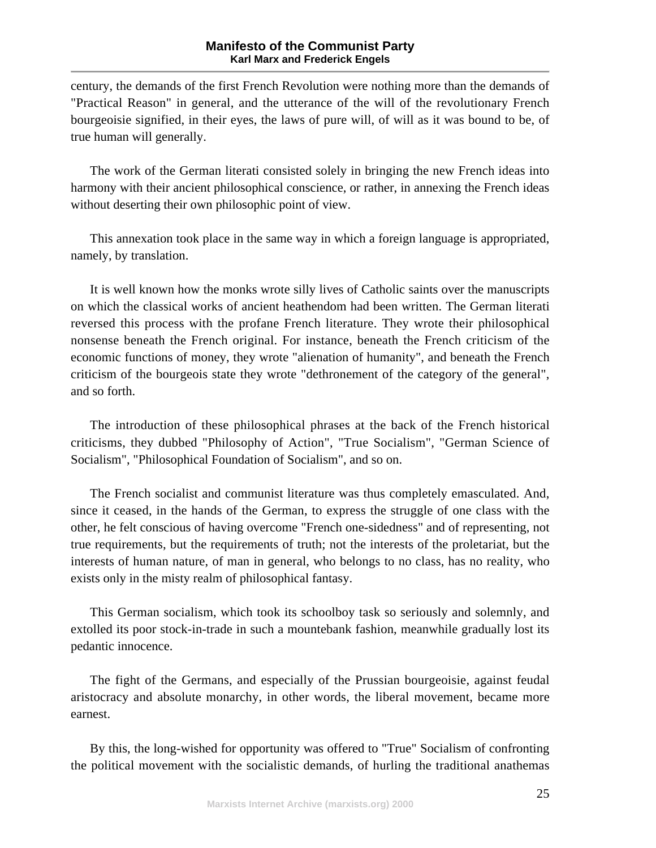century, the demands of the first French Revolution were nothing more than the demands of "Practical Reason" in general, and the utterance of the will of the revolutionary French bourgeoisie signified, in their eyes, the laws of pure will, of will as it was bound to be, of true human will generally.

The work of the German literati consisted solely in bringing the new French ideas into harmony with their ancient philosophical conscience, or rather, in annexing the French ideas without deserting their own philosophic point of view.

This annexation took place in the same way in which a foreign language is appropriated, namely, by translation.

It is well known how the monks wrote silly lives of Catholic saints over the manuscripts on which the classical works of ancient heathendom had been written. The German literati reversed this process with the profane French literature. They wrote their philosophical nonsense beneath the French original. For instance, beneath the French criticism of the economic functions of money, they wrote "alienation of humanity", and beneath the French criticism of the bourgeois state they wrote "dethronement of the category of the general", and so forth.

The introduction of these philosophical phrases at the back of the French historical criticisms, they dubbed "Philosophy of Action", "True Socialism", "German Science of Socialism", "Philosophical Foundation of Socialism", and so on.

The French socialist and communist literature was thus completely emasculated. And, since it ceased, in the hands of the German, to express the struggle of one class with the other, he felt conscious of having overcome "French one-sidedness" and of representing, not true requirements, but the requirements of truth; not the interests of the proletariat, but the interests of human nature, of man in general, who belongs to no class, has no reality, who exists only in the misty realm of philosophical fantasy.

This German socialism, which took its schoolboy task so seriously and solemnly, and extolled its poor stock-in-trade in such a mountebank fashion, meanwhile gradually lost its pedantic innocence.

The fight of the Germans, and especially of the Prussian bourgeoisie, against feudal aristocracy and absolute monarchy, in other words, the liberal movement, became more earnest.

By this, the long-wished for opportunity was offered to "True" Socialism of confronting the political movement with the socialistic demands, of hurling the traditional anathemas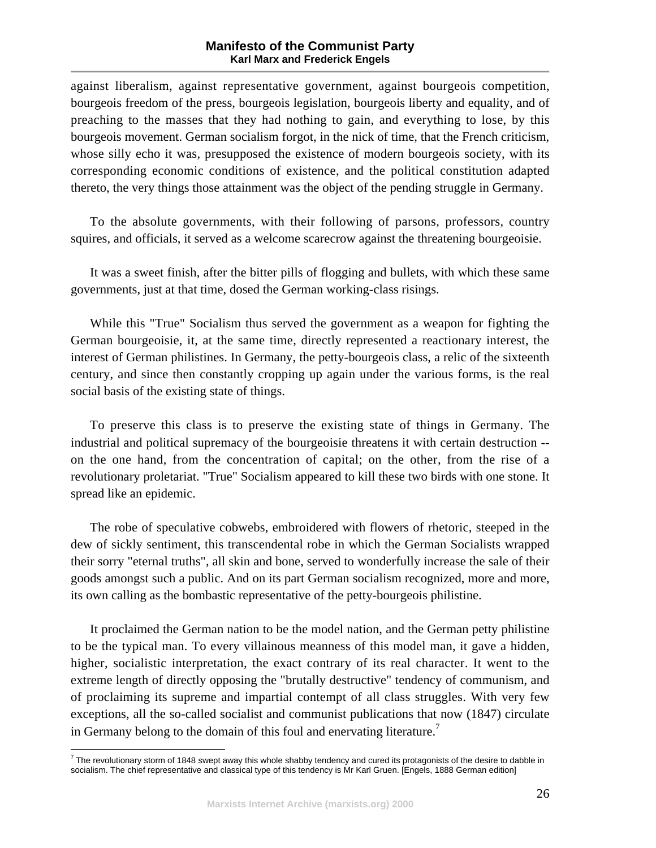against liberalism, against representative government, against bourgeois competition, bourgeois freedom of the press, bourgeois legislation, bourgeois liberty and equality, and of preaching to the masses that they had nothing to gain, and everything to lose, by this bourgeois movement. German socialism forgot, in the nick of time, that the French criticism, whose silly echo it was, presupposed the existence of modern bourgeois society, with its corresponding economic conditions of existence, and the political constitution adapted thereto, the very things those attainment was the object of the pending struggle in Germany.

To the absolute governments, with their following of parsons, professors, country squires, and officials, it served as a welcome scarecrow against the threatening bourgeoisie.

It was a sweet finish, after the bitter pills of flogging and bullets, with which these same governments, just at that time, dosed the German working-class risings.

While this "True" Socialism thus served the government as a weapon for fighting the German bourgeoisie, it, at the same time, directly represented a reactionary interest, the interest of German philistines. In Germany, the petty-bourgeois class, a relic of the sixteenth century, and since then constantly cropping up again under the various forms, is the real social basis of the existing state of things.

To preserve this class is to preserve the existing state of things in Germany. The industrial and political supremacy of the bourgeoisie threatens it with certain destruction - on the one hand, from the concentration of capital; on the other, from the rise of a revolutionary proletariat. "True" Socialism appeared to kill these two birds with one stone. It spread like an epidemic.

The robe of speculative cobwebs, embroidered with flowers of rhetoric, steeped in the dew of sickly sentiment, this transcendental robe in which the German Socialists wrapped their sorry "eternal truths", all skin and bone, served to wonderfully increase the sale of their goods amongst such a public. And on its part German socialism recognized, more and more, its own calling as the bombastic representative of the petty-bourgeois philistine.

It proclaimed the German nation to be the model nation, and the German petty philistine to be the typical man. To every villainous meanness of this model man, it gave a hidden, higher, socialistic interpretation, the exact contrary of its real character. It went to the extreme length of directly opposing the "brutally destructive" tendency of communism, and of proclaiming its supreme and impartial contempt of all class struggles. With very few exceptions, all the so-called socialist and communist publications that now (1847) circulate in Germany belong to the domain of this foul and enervating literature.<sup>7</sup>

The revolutionary storm of 1848 swept away this whole shabby tendency and cured its protagonists of the desire to dabble in socialism. The chief representative and classical type of this tendency is Mr Karl Gruen. [Engels, 1888 German edition]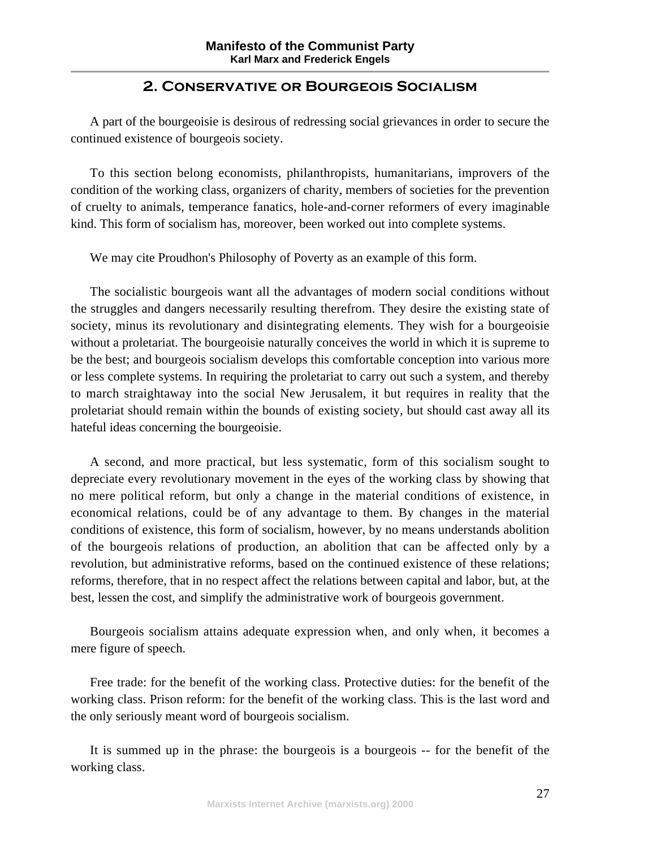## **2. Conservative or Bourgeois Socialism**

A part of the bourgeoisie is desirous of redressing social grievances in order to secure the continued existence of bourgeois society.

To this section belong economists, philanthropists, humanitarians, improvers of the condition of the working class, organizers of charity, members of societies for the prevention of cruelty to animals, temperance fanatics, hole-and-corner reformers of every imaginable kind. This form of socialism has, moreover, been worked out into complete systems.

We may cite Proudhon's Philosophy of Poverty as an example of this form.

The socialistic bourgeois want all the advantages of modern social conditions without the struggles and dangers necessarily resulting therefrom. They desire the existing state of society, minus its revolutionary and disintegrating elements. They wish for a bourgeoisie without a proletariat. The bourgeoisie naturally conceives the world in which it is supreme to be the best; and bourgeois socialism develops this comfortable conception into various more or less complete systems. In requiring the proletariat to carry out such a system, and thereby to march straightaway into the social New Jerusalem, it but requires in reality that the proletariat should remain within the bounds of existing society, but should cast away all its hateful ideas concerning the bourgeoisie.

A second, and more practical, but less systematic, form of this socialism sought to depreciate every revolutionary movement in the eyes of the working class by showing that no mere political reform, but only a change in the material conditions of existence, in economical relations, could be of any advantage to them. By changes in the material conditions of existence, this form of socialism, however, by no means understands abolition of the bourgeois relations of production, an abolition that can be affected only by a revolution, but administrative reforms, based on the continued existence of these relations; reforms, therefore, that in no respect affect the relations between capital and labor, but, at the best, lessen the cost, and simplify the administrative work of bourgeois government.

Bourgeois socialism attains adequate expression when, and only when, it becomes a mere figure of speech.

Free trade: for the benefit of the working class. Protective duties: for the benefit of the working class. Prison reform: for the benefit of the working class. This is the last word and the only seriously meant word of bourgeois socialism.

It is summed up in the phrase: the bourgeois is a bourgeois -- for the benefit of the working class.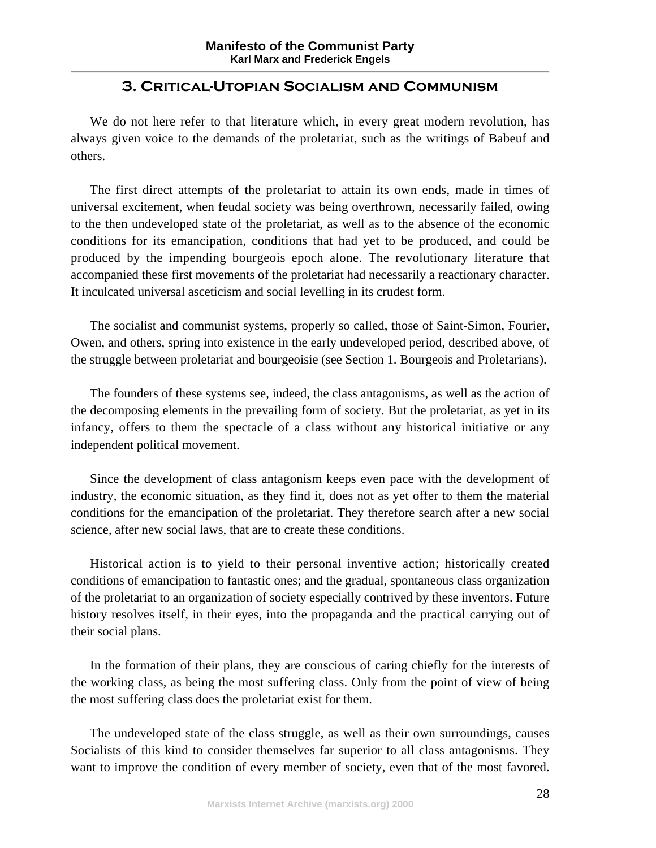## **3. Critical-Utopian Socialism and Communism**

We do not here refer to that literature which, in every great modern revolution, has always given voice to the demands of the proletariat, such as the writings of Babeuf and others.

The first direct attempts of the proletariat to attain its own ends, made in times of universal excitement, when feudal society was being overthrown, necessarily failed, owing to the then undeveloped state of the proletariat, as well as to the absence of the economic conditions for its emancipation, conditions that had yet to be produced, and could be produced by the impending bourgeois epoch alone. The revolutionary literature that accompanied these first movements of the proletariat had necessarily a reactionary character. It inculcated universal asceticism and social levelling in its crudest form.

The socialist and communist systems, properly so called, those of Saint-Simon, Fourier, Owen, and others, spring into existence in the early undeveloped period, described above, of the struggle between proletariat and bourgeoisie (see Section 1. Bourgeois and Proletarians).

The founders of these systems see, indeed, the class antagonisms, as well as the action of the decomposing elements in the prevailing form of society. But the proletariat, as yet in its infancy, offers to them the spectacle of a class without any historical initiative or any independent political movement.

Since the development of class antagonism keeps even pace with the development of industry, the economic situation, as they find it, does not as yet offer to them the material conditions for the emancipation of the proletariat. They therefore search after a new social science, after new social laws, that are to create these conditions.

Historical action is to yield to their personal inventive action; historically created conditions of emancipation to fantastic ones; and the gradual, spontaneous class organization of the proletariat to an organization of society especially contrived by these inventors. Future history resolves itself, in their eyes, into the propaganda and the practical carrying out of their social plans.

In the formation of their plans, they are conscious of caring chiefly for the interests of the working class, as being the most suffering class. Only from the point of view of being the most suffering class does the proletariat exist for them.

The undeveloped state of the class struggle, as well as their own surroundings, causes Socialists of this kind to consider themselves far superior to all class antagonisms. They want to improve the condition of every member of society, even that of the most favored.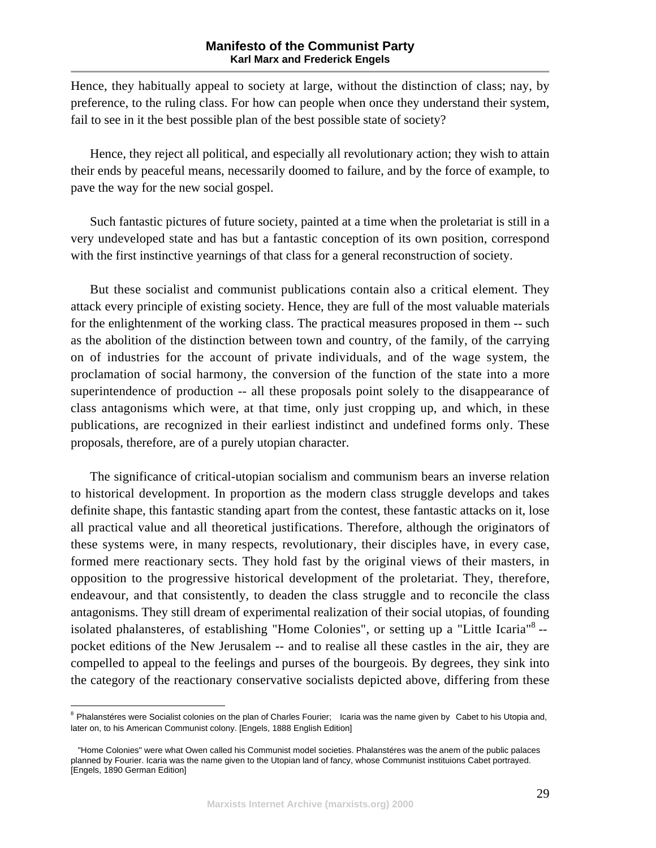Hence, they habitually appeal to society at large, without the distinction of class; nay, by preference, to the ruling class. For how can people when once they understand their system, fail to see in it the best possible plan of the best possible state of society?

Hence, they reject all political, and especially all revolutionary action; they wish to attain their ends by peaceful means, necessarily doomed to failure, and by the force of example, to pave the way for the new social gospel.

Such fantastic pictures of future society, painted at a time when the proletariat is still in a very undeveloped state and has but a fantastic conception of its own position, correspond with the first instinctive yearnings of that class for a general reconstruction of society.

But these socialist and communist publications contain also a critical element. They attack every principle of existing society. Hence, they are full of the most valuable materials for the enlightenment of the working class. The practical measures proposed in them -- such as the abolition of the distinction between town and country, of the family, of the carrying on of industries for the account of private individuals, and of the wage system, the proclamation of social harmony, the conversion of the function of the state into a more superintendence of production -- all these proposals point solely to the disappearance of class antagonisms which were, at that time, only just cropping up, and which, in these publications, are recognized in their earliest indistinct and undefined forms only. These proposals, therefore, are of a purely utopian character.

The significance of critical-utopian socialism and communism bears an inverse relation to historical development. In proportion as the modern class struggle develops and takes definite shape, this fantastic standing apart from the contest, these fantastic attacks on it, lose all practical value and all theoretical justifications. Therefore, although the originators of these systems were, in many respects, revolutionary, their disciples have, in every case, formed mere reactionary sects. They hold fast by the original views of their masters, in opposition to the progressive historical development of the proletariat. They, therefore, endeavour, and that consistently, to deaden the class struggle and to reconcile the class antagonisms. They still dream of experimental realization of their social utopias, of founding isolated phalansteres, of establishing "Home Colonies", or setting up a "Little Icaria"<sup>8</sup>-pocket editions of the New Jerusalem -- and to realise all these castles in the air, they are compelled to appeal to the feelings and purses of the bourgeois. By degrees, they sink into the category of the reactionary conservative socialists depicted above, differing from these

 $\overline{a}$ 

<sup>&</sup>lt;sup>8</sup> Phalanstéres were Socialist colonies on the plan of Charles Fourier; Icaria was the name given by Cabet to his Utopia and, later on, to his American Communist colony. [Engels, 1888 English Edition]

 <sup>&</sup>quot;Home Colonies" were what Owen called his Communist model societies. Phalanstéres was the anem of the public palaces planned by Fourier. Icaria was the name given to the Utopian land of fancy, whose Communist instituions Cabet portrayed. [Engels, 1890 German Edition]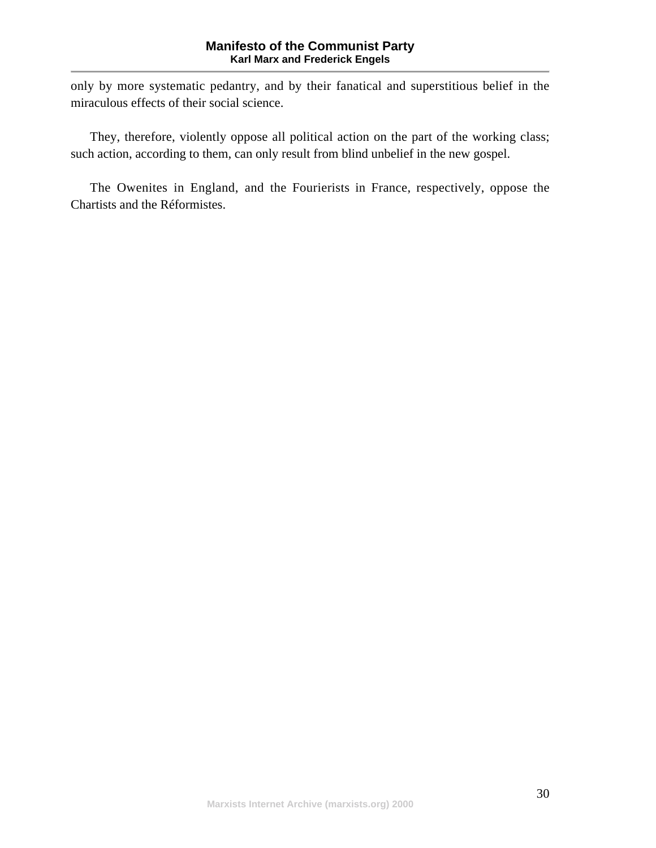only by more systematic pedantry, and by their fanatical and superstitious belief in the miraculous effects of their social science.

They, therefore, violently oppose all political action on the part of the working class; such action, according to them, can only result from blind unbelief in the new gospel.

The Owenites in England, and the Fourierists in France, respectively, oppose the Chartists and the Réformistes.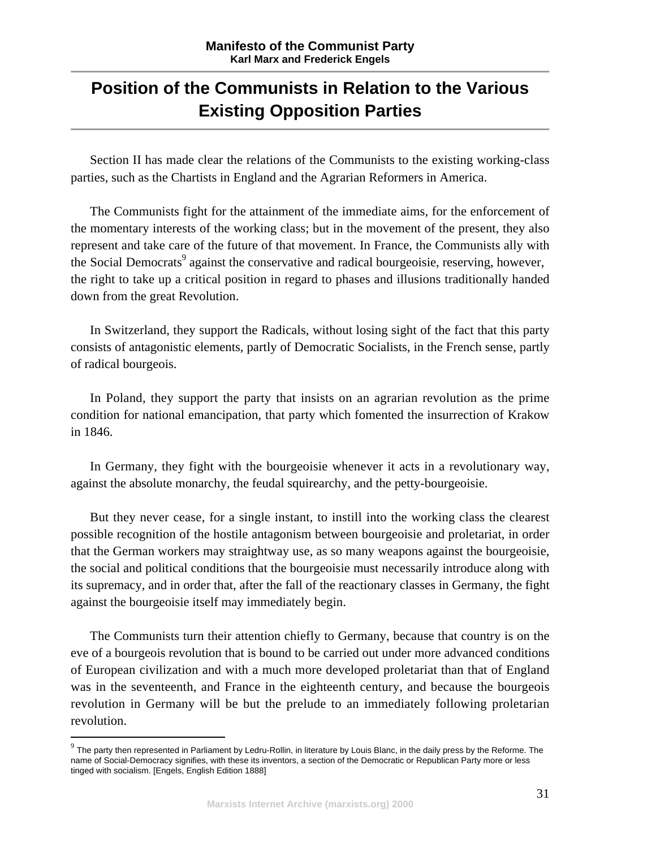# **Position of the Communists in Relation to the Various Existing Opposition Parties**

Section II has made clear the relations of the Communists to the existing working-class parties, such as the Chartists in England and the Agrarian Reformers in America.

The Communists fight for the attainment of the immediate aims, for the enforcement of the momentary interests of the working class; but in the movement of the present, they also represent and take care of the future of that movement. In France, the Communists ally with the Social Democrats<sup>9</sup> against the conservative and radical bourgeoisie, reserving, however, the right to take up a critical position in regard to phases and illusions traditionally handed down from the great Revolution.

In Switzerland, they support the Radicals, without losing sight of the fact that this party consists of antagonistic elements, partly of Democratic Socialists, in the French sense, partly of radical bourgeois.

In Poland, they support the party that insists on an agrarian revolution as the prime condition for national emancipation, that party which fomented the insurrection of Krakow in 1846.

In Germany, they fight with the bourgeoisie whenever it acts in a revolutionary way, against the absolute monarchy, the feudal squirearchy, and the petty-bourgeoisie.

But they never cease, for a single instant, to instill into the working class the clearest possible recognition of the hostile antagonism between bourgeoisie and proletariat, in order that the German workers may straightway use, as so many weapons against the bourgeoisie, the social and political conditions that the bourgeoisie must necessarily introduce along with its supremacy, and in order that, after the fall of the reactionary classes in Germany, the fight against the bourgeoisie itself may immediately begin.

The Communists turn their attention chiefly to Germany, because that country is on the eve of a bourgeois revolution that is bound to be carried out under more advanced conditions of European civilization and with a much more developed proletariat than that of England was in the seventeenth, and France in the eighteenth century, and because the bourgeois revolution in Germany will be but the prelude to an immediately following proletarian revolution.

 $\overline{a}$ 

 $9$  The party then represented in Parliament by Ledru-Rollin, in literature by Louis Blanc, in the daily press by the Reforme. The name of Social-Democracy signifies, with these its inventors, a section of the Democratic or Republican Party more or less tinged with socialism. [Engels, English Edition 1888]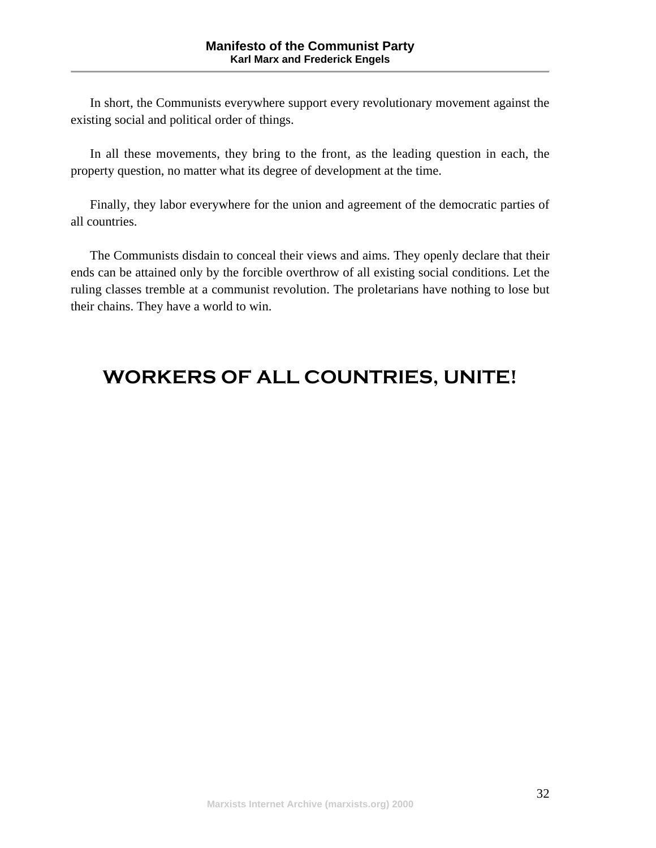In short, the Communists everywhere support every revolutionary movement against the existing social and political order of things.

In all these movements, they bring to the front, as the leading question in each, the property question, no matter what its degree of development at the time.

Finally, they labor everywhere for the union and agreement of the democratic parties of all countries.

The Communists disdain to conceal their views and aims. They openly declare that their ends can be attained only by the forcible overthrow of all existing social conditions. Let the ruling classes tremble at a communist revolution. The proletarians have nothing to lose but their chains. They have a world to win.

# **WORKERS OF ALL COUNTRIES, UNITE!**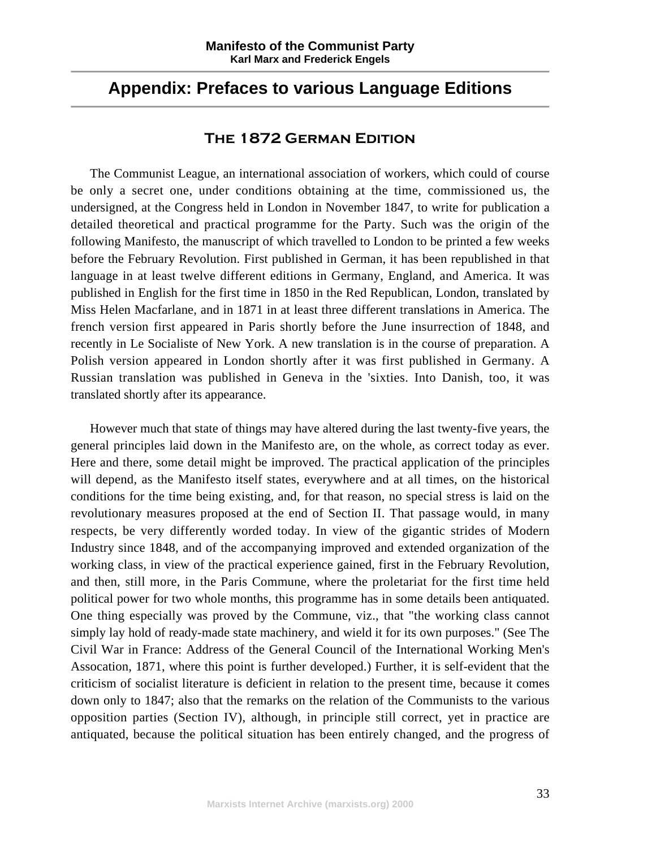## **Appendix: Prefaces to various Language Editions**

## **The 1872 German Edition**

The Communist League, an international association of workers, which could of course be only a secret one, under conditions obtaining at the time, commissioned us, the undersigned, at the Congress held in London in November 1847, to write for publication a detailed theoretical and practical programme for the Party. Such was the origin of the following Manifesto, the manuscript of which travelled to London to be printed a few weeks before the February Revolution. First published in German, it has been republished in that language in at least twelve different editions in Germany, England, and America. It was published in English for the first time in 1850 in the Red Republican, London, translated by Miss Helen Macfarlane, and in 1871 in at least three different translations in America. The french version first appeared in Paris shortly before the June insurrection of 1848, and recently in Le Socialiste of New York. A new translation is in the course of preparation. A Polish version appeared in London shortly after it was first published in Germany. A Russian translation was published in Geneva in the 'sixties. Into Danish, too, it was translated shortly after its appearance.

However much that state of things may have altered during the last twenty-five years, the general principles laid down in the Manifesto are, on the whole, as correct today as ever. Here and there, some detail might be improved. The practical application of the principles will depend, as the Manifesto itself states, everywhere and at all times, on the historical conditions for the time being existing, and, for that reason, no special stress is laid on the revolutionary measures proposed at the end of Section II. That passage would, in many respects, be very differently worded today. In view of the gigantic strides of Modern Industry since 1848, and of the accompanying improved and extended organization of the working class, in view of the practical experience gained, first in the February Revolution, and then, still more, in the Paris Commune, where the proletariat for the first time held political power for two whole months, this programme has in some details been antiquated. One thing especially was proved by the Commune, viz., that "the working class cannot simply lay hold of ready-made state machinery, and wield it for its own purposes." (See The Civil War in France: Address of the General Council of the International Working Men's Assocation, 1871, where this point is further developed.) Further, it is self-evident that the criticism of socialist literature is deficient in relation to the present time, because it comes down only to 1847; also that the remarks on the relation of the Communists to the various opposition parties (Section IV), although, in principle still correct, yet in practice are antiquated, because the political situation has been entirely changed, and the progress of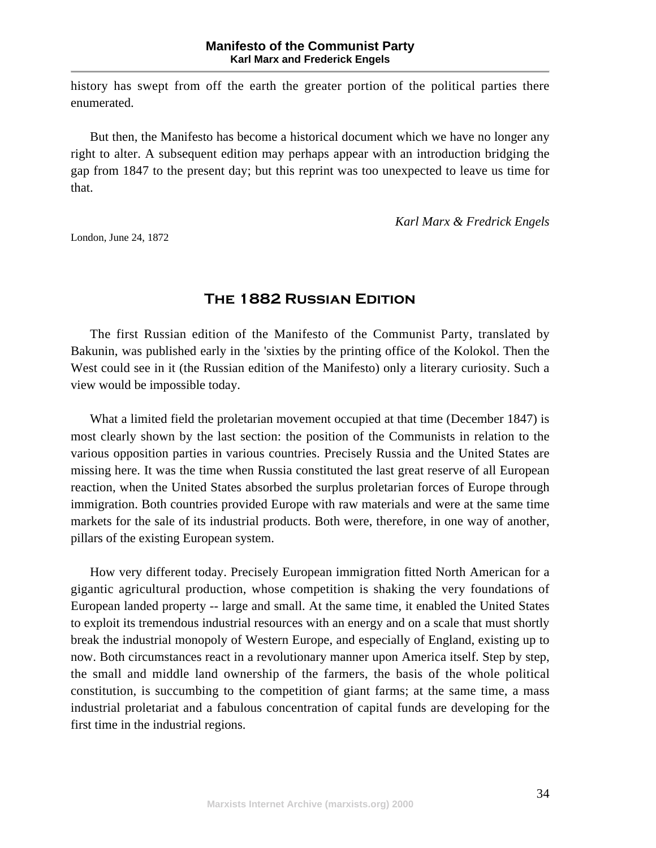history has swept from off the earth the greater portion of the political parties there enumerated.

But then, the Manifesto has become a historical document which we have no longer any right to alter. A subsequent edition may perhaps appear with an introduction bridging the gap from 1847 to the present day; but this reprint was too unexpected to leave us time for that.

*Karl Marx & Fredrick Engels*

London, June 24, 1872

## **The 1882 Russian Edition**

The first Russian edition of the Manifesto of the Communist Party, translated by Bakunin, was published early in the 'sixties by the printing office of the Kolokol. Then the West could see in it (the Russian edition of the Manifesto) only a literary curiosity. Such a view would be impossible today.

What a limited field the proletarian movement occupied at that time (December 1847) is most clearly shown by the last section: the position of the Communists in relation to the various opposition parties in various countries. Precisely Russia and the United States are missing here. It was the time when Russia constituted the last great reserve of all European reaction, when the United States absorbed the surplus proletarian forces of Europe through immigration. Both countries provided Europe with raw materials and were at the same time markets for the sale of its industrial products. Both were, therefore, in one way of another, pillars of the existing European system.

How very different today. Precisely European immigration fitted North American for a gigantic agricultural production, whose competition is shaking the very foundations of European landed property -- large and small. At the same time, it enabled the United States to exploit its tremendous industrial resources with an energy and on a scale that must shortly break the industrial monopoly of Western Europe, and especially of England, existing up to now. Both circumstances react in a revolutionary manner upon America itself. Step by step, the small and middle land ownership of the farmers, the basis of the whole political constitution, is succumbing to the competition of giant farms; at the same time, a mass industrial proletariat and a fabulous concentration of capital funds are developing for the first time in the industrial regions.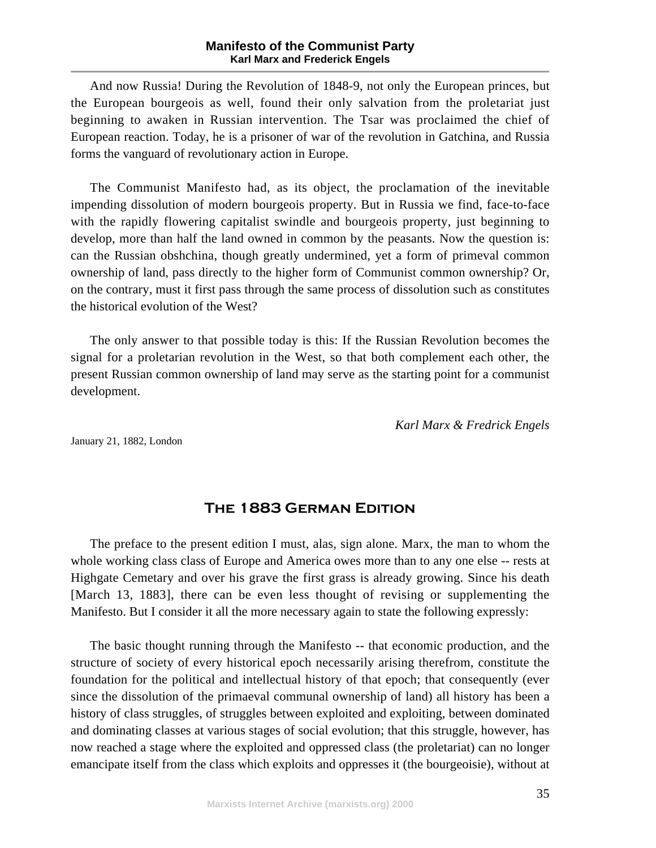And now Russia! During the Revolution of 1848-9, not only the European princes, but the European bourgeois as well, found their only salvation from the proletariat just beginning to awaken in Russian intervention. The Tsar was proclaimed the chief of European reaction. Today, he is a prisoner of war of the revolution in Gatchina, and Russia forms the vanguard of revolutionary action in Europe.

The Communist Manifesto had, as its object, the proclamation of the inevitable impending dissolution of modern bourgeois property. But in Russia we find, face-to-face with the rapidly flowering capitalist swindle and bourgeois property, just beginning to develop, more than half the land owned in common by the peasants. Now the question is: can the Russian obshchina, though greatly undermined, yet a form of primeval common ownership of land, pass directly to the higher form of Communist common ownership? Or, on the contrary, must it first pass through the same process of dissolution such as constitutes the historical evolution of the West?

The only answer to that possible today is this: If the Russian Revolution becomes the signal for a proletarian revolution in the West, so that both complement each other, the present Russian common ownership of land may serve as the starting point for a communist development.

*Karl Marx & Fredrick Engels*

January 21, 1882, London

## **The 1883 German Edition**

The preface to the present edition I must, alas, sign alone. Marx, the man to whom the whole working class class of Europe and America owes more than to any one else -- rests at Highgate Cemetary and over his grave the first grass is already growing. Since his death [March 13, 1883], there can be even less thought of revising or supplementing the Manifesto. But I consider it all the more necessary again to state the following expressly:

The basic thought running through the Manifesto -- that economic production, and the structure of society of every historical epoch necessarily arising therefrom, constitute the foundation for the political and intellectual history of that epoch; that consequently (ever since the dissolution of the primaeval communal ownership of land) all history has been a history of class struggles, of struggles between exploited and exploiting, between dominated and dominating classes at various stages of social evolution; that this struggle, however, has now reached a stage where the exploited and oppressed class (the proletariat) can no longer emancipate itself from the class which exploits and oppresses it (the bourgeoisie), without at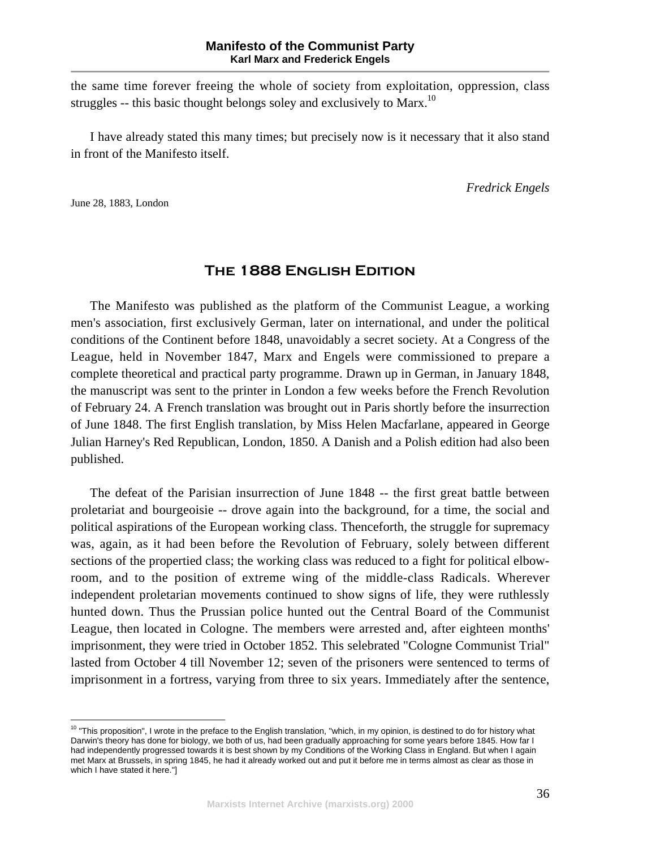the same time forever freeing the whole of society from exploitation, oppression, class struggles -- this basic thought belongs soley and exclusively to Marx.<sup>10</sup>

I have already stated this many times; but precisely now is it necessary that it also stand in front of the Manifesto itself.

*Fredrick Engels*

June 28, 1883, London

 $\overline{a}$ 

## **The 1888 English Edition**

The Manifesto was published as the platform of the Communist League, a working men's association, first exclusively German, later on international, and under the political conditions of the Continent before 1848, unavoidably a secret society. At a Congress of the League, held in November 1847, Marx and Engels were commissioned to prepare a complete theoretical and practical party programme. Drawn up in German, in January 1848, the manuscript was sent to the printer in London a few weeks before the French Revolution of February 24. A French translation was brought out in Paris shortly before the insurrection of June 1848. The first English translation, by Miss Helen Macfarlane, appeared in George Julian Harney's Red Republican, London, 1850. A Danish and a Polish edition had also been published.

The defeat of the Parisian insurrection of June 1848 -- the first great battle between proletariat and bourgeoisie -- drove again into the background, for a time, the social and political aspirations of the European working class. Thenceforth, the struggle for supremacy was, again, as it had been before the Revolution of February, solely between different sections of the propertied class; the working class was reduced to a fight for political elbowroom, and to the position of extreme wing of the middle-class Radicals. Wherever independent proletarian movements continued to show signs of life, they were ruthlessly hunted down. Thus the Prussian police hunted out the Central Board of the Communist League, then located in Cologne. The members were arrested and, after eighteen months' imprisonment, they were tried in October 1852. This selebrated "Cologne Communist Trial" lasted from October 4 till November 12; seven of the prisoners were sentenced to terms of imprisonment in a fortress, varying from three to six years. Immediately after the sentence,

<sup>&</sup>lt;sup>10</sup> "This proposition", I wrote in the preface to the English translation, "which, in my opinion, is destined to do for history what Darwin's theory has done for biology, we both of us, had been gradually approaching for some years before 1845. How far I had independently progressed towards it is best shown by my Conditions of the Working Class in England. But when I again met Marx at Brussels, in spring 1845, he had it already worked out and put it before me in terms almost as clear as those in which I have stated it here."]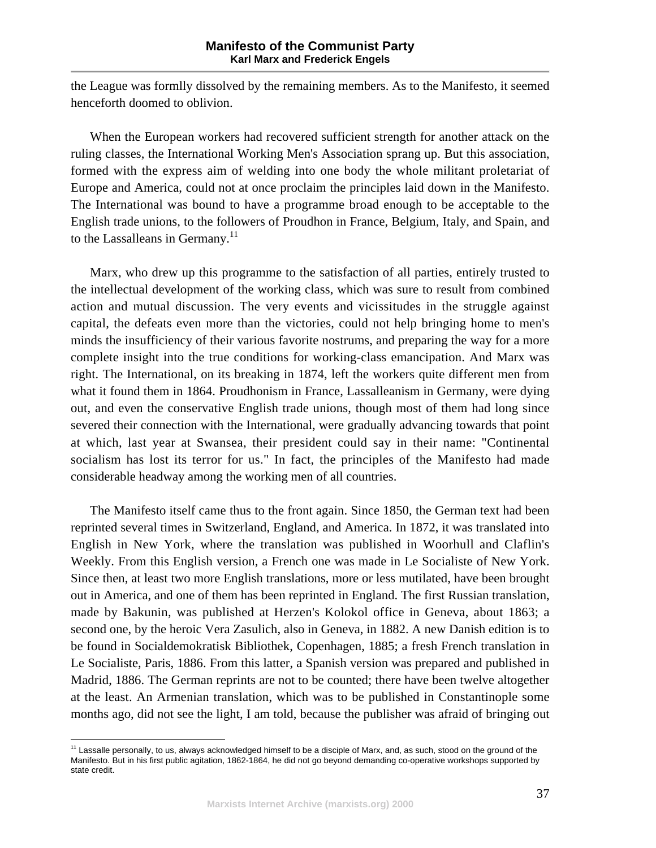the League was formlly dissolved by the remaining members. As to the Manifesto, it seemed henceforth doomed to oblivion.

When the European workers had recovered sufficient strength for another attack on the ruling classes, the International Working Men's Association sprang up. But this association, formed with the express aim of welding into one body the whole militant proletariat of Europe and America, could not at once proclaim the principles laid down in the Manifesto. The International was bound to have a programme broad enough to be acceptable to the English trade unions, to the followers of Proudhon in France, Belgium, Italy, and Spain, and to the Lassalleans in Germany.<sup>11</sup>

Marx, who drew up this programme to the satisfaction of all parties, entirely trusted to the intellectual development of the working class, which was sure to result from combined action and mutual discussion. The very events and vicissitudes in the struggle against capital, the defeats even more than the victories, could not help bringing home to men's minds the insufficiency of their various favorite nostrums, and preparing the way for a more complete insight into the true conditions for working-class emancipation. And Marx was right. The International, on its breaking in 1874, left the workers quite different men from what it found them in 1864. Proudhonism in France, Lassalleanism in Germany, were dying out, and even the conservative English trade unions, though most of them had long since severed their connection with the International, were gradually advancing towards that point at which, last year at Swansea, their president could say in their name: "Continental socialism has lost its terror for us." In fact, the principles of the Manifesto had made considerable headway among the working men of all countries.

The Manifesto itself came thus to the front again. Since 1850, the German text had been reprinted several times in Switzerland, England, and America. In 1872, it was translated into English in New York, where the translation was published in Woorhull and Claflin's Weekly. From this English version, a French one was made in Le Socialiste of New York. Since then, at least two more English translations, more or less mutilated, have been brought out in America, and one of them has been reprinted in England. The first Russian translation, made by Bakunin, was published at Herzen's Kolokol office in Geneva, about 1863; a second one, by the heroic Vera Zasulich, also in Geneva, in 1882. A new Danish edition is to be found in Socialdemokratisk Bibliothek, Copenhagen, 1885; a fresh French translation in Le Socialiste, Paris, 1886. From this latter, a Spanish version was prepared and published in Madrid, 1886. The German reprints are not to be counted; there have been twelve altogether at the least. An Armenian translation, which was to be published in Constantinople some months ago, did not see the light, I am told, because the publisher was afraid of bringing out

 $\overline{a}$ 

 $11$  Lassalle personally, to us, always acknowledged himself to be a disciple of Marx, and, as such, stood on the ground of the Manifesto. But in his first public agitation, 1862-1864, he did not go beyond demanding co-operative workshops supported by state credit.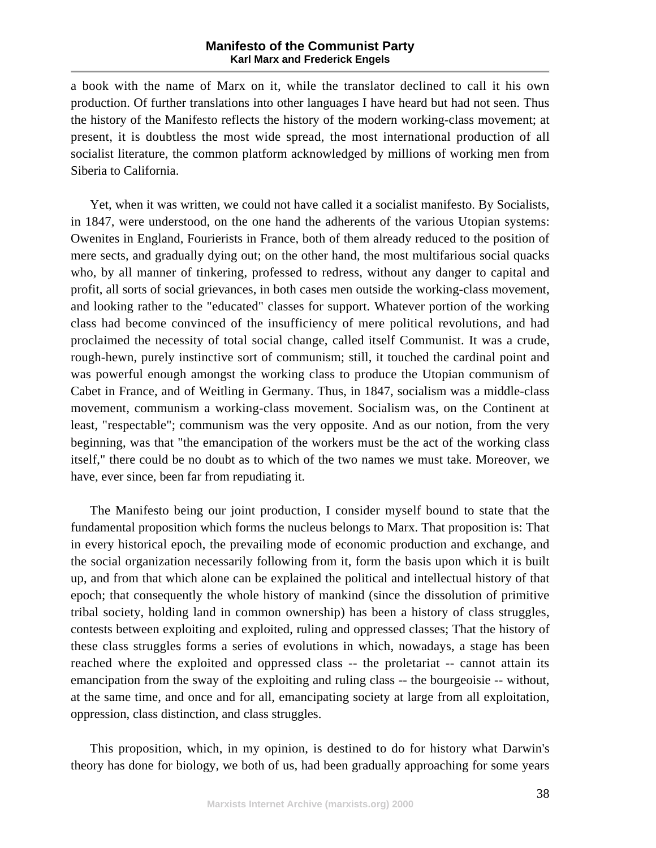a book with the name of Marx on it, while the translator declined to call it his own production. Of further translations into other languages I have heard but had not seen. Thus the history of the Manifesto reflects the history of the modern working-class movement; at present, it is doubtless the most wide spread, the most international production of all socialist literature, the common platform acknowledged by millions of working men from Siberia to California.

Yet, when it was written, we could not have called it a socialist manifesto. By Socialists, in 1847, were understood, on the one hand the adherents of the various Utopian systems: Owenites in England, Fourierists in France, both of them already reduced to the position of mere sects, and gradually dying out; on the other hand, the most multifarious social quacks who, by all manner of tinkering, professed to redress, without any danger to capital and profit, all sorts of social grievances, in both cases men outside the working-class movement, and looking rather to the "educated" classes for support. Whatever portion of the working class had become convinced of the insufficiency of mere political revolutions, and had proclaimed the necessity of total social change, called itself Communist. It was a crude, rough-hewn, purely instinctive sort of communism; still, it touched the cardinal point and was powerful enough amongst the working class to produce the Utopian communism of Cabet in France, and of Weitling in Germany. Thus, in 1847, socialism was a middle-class movement, communism a working-class movement. Socialism was, on the Continent at least, "respectable"; communism was the very opposite. And as our notion, from the very beginning, was that "the emancipation of the workers must be the act of the working class itself," there could be no doubt as to which of the two names we must take. Moreover, we have, ever since, been far from repudiating it.

The Manifesto being our joint production, I consider myself bound to state that the fundamental proposition which forms the nucleus belongs to Marx. That proposition is: That in every historical epoch, the prevailing mode of economic production and exchange, and the social organization necessarily following from it, form the basis upon which it is built up, and from that which alone can be explained the political and intellectual history of that epoch; that consequently the whole history of mankind (since the dissolution of primitive tribal society, holding land in common ownership) has been a history of class struggles, contests between exploiting and exploited, ruling and oppressed classes; That the history of these class struggles forms a series of evolutions in which, nowadays, a stage has been reached where the exploited and oppressed class -- the proletariat -- cannot attain its emancipation from the sway of the exploiting and ruling class -- the bourgeoisie -- without, at the same time, and once and for all, emancipating society at large from all exploitation, oppression, class distinction, and class struggles.

This proposition, which, in my opinion, is destined to do for history what Darwin's theory has done for biology, we both of us, had been gradually approaching for some years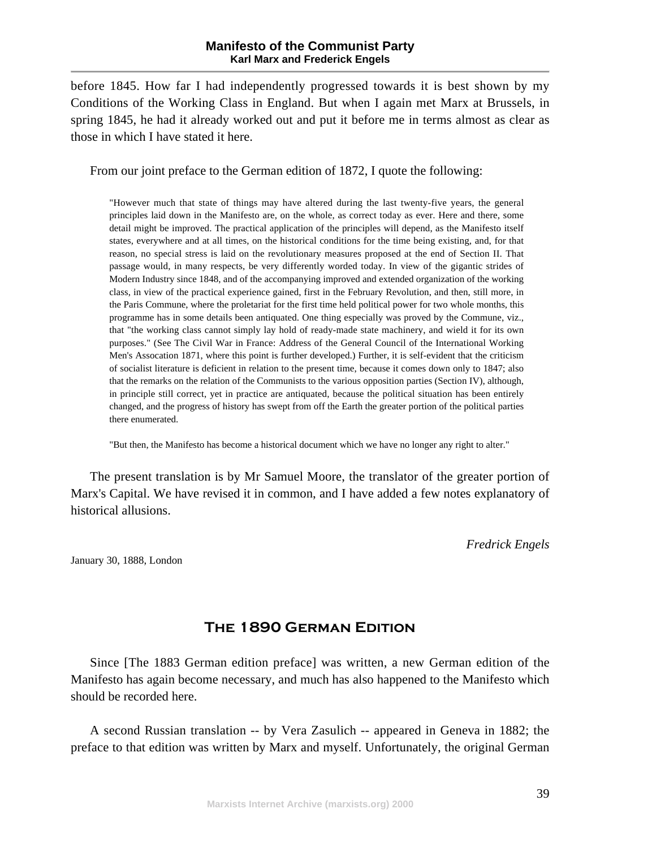before 1845. How far I had independently progressed towards it is best shown by my Conditions of the Working Class in England. But when I again met Marx at Brussels, in spring 1845, he had it already worked out and put it before me in terms almost as clear as those in which I have stated it here.

From our joint preface to the German edition of 1872, I quote the following:

"However much that state of things may have altered during the last twenty-five years, the general principles laid down in the Manifesto are, on the whole, as correct today as ever. Here and there, some detail might be improved. The practical application of the principles will depend, as the Manifesto itself states, everywhere and at all times, on the historical conditions for the time being existing, and, for that reason, no special stress is laid on the revolutionary measures proposed at the end of Section II. That passage would, in many respects, be very differently worded today. In view of the gigantic strides of Modern Industry since 1848, and of the accompanying improved and extended organization of the working class, in view of the practical experience gained, first in the February Revolution, and then, still more, in the Paris Commune, where the proletariat for the first time held political power for two whole months, this programme has in some details been antiquated. One thing especially was proved by the Commune, viz., that "the working class cannot simply lay hold of ready-made state machinery, and wield it for its own purposes." (See The Civil War in France: Address of the General Council of the International Working Men's Assocation 1871, where this point is further developed.) Further, it is self-evident that the criticism of socialist literature is deficient in relation to the present time, because it comes down only to 1847; also that the remarks on the relation of the Communists to the various opposition parties (Section IV), although, in principle still correct, yet in practice are antiquated, because the political situation has been entirely changed, and the progress of history has swept from off the Earth the greater portion of the political parties there enumerated.

"But then, the Manifesto has become a historical document which we have no longer any right to alter."

The present translation is by Mr Samuel Moore, the translator of the greater portion of Marx's Capital. We have revised it in common, and I have added a few notes explanatory of historical allusions.

*Fredrick Engels*

January 30, 1888, London

## **The 1890 German Edition**

Since [The 1883 German edition preface] was written, a new German edition of the Manifesto has again become necessary, and much has also happened to the Manifesto which should be recorded here.

A second Russian translation -- by Vera Zasulich -- appeared in Geneva in 1882; the preface to that edition was written by Marx and myself. Unfortunately, the original German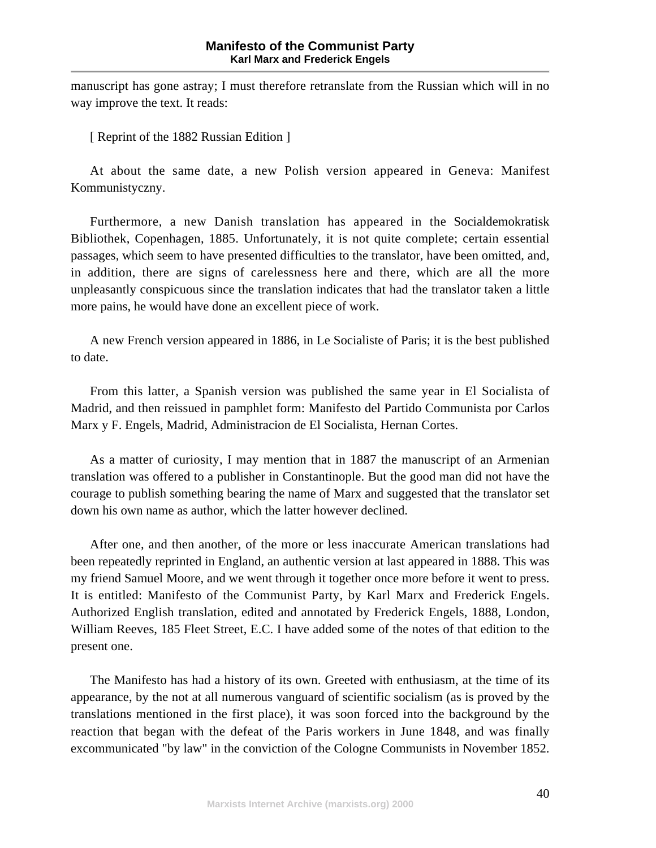manuscript has gone astray; I must therefore retranslate from the Russian which will in no way improve the text. It reads:

[ Reprint of the 1882 Russian Edition ]

At about the same date, a new Polish version appeared in Geneva: Manifest Kommunistyczny.

Furthermore, a new Danish translation has appeared in the Socialdemokratisk Bibliothek, Copenhagen, 1885. Unfortunately, it is not quite complete; certain essential passages, which seem to have presented difficulties to the translator, have been omitted, and, in addition, there are signs of carelessness here and there, which are all the more unpleasantly conspicuous since the translation indicates that had the translator taken a little more pains, he would have done an excellent piece of work.

A new French version appeared in 1886, in Le Socialiste of Paris; it is the best published to date.

From this latter, a Spanish version was published the same year in El Socialista of Madrid, and then reissued in pamphlet form: Manifesto del Partido Communista por Carlos Marx y F. Engels, Madrid, Administracion de El Socialista, Hernan Cortes.

As a matter of curiosity, I may mention that in 1887 the manuscript of an Armenian translation was offered to a publisher in Constantinople. But the good man did not have the courage to publish something bearing the name of Marx and suggested that the translator set down his own name as author, which the latter however declined.

After one, and then another, of the more or less inaccurate American translations had been repeatedly reprinted in England, an authentic version at last appeared in 1888. This was my friend Samuel Moore, and we went through it together once more before it went to press. It is entitled: Manifesto of the Communist Party, by Karl Marx and Frederick Engels. Authorized English translation, edited and annotated by Frederick Engels, 1888, London, William Reeves, 185 Fleet Street, E.C. I have added some of the notes of that edition to the present one.

The Manifesto has had a history of its own. Greeted with enthusiasm, at the time of its appearance, by the not at all numerous vanguard of scientific socialism (as is proved by the translations mentioned in the first place), it was soon forced into the background by the reaction that began with the defeat of the Paris workers in June 1848, and was finally excommunicated "by law" in the conviction of the Cologne Communists in November 1852.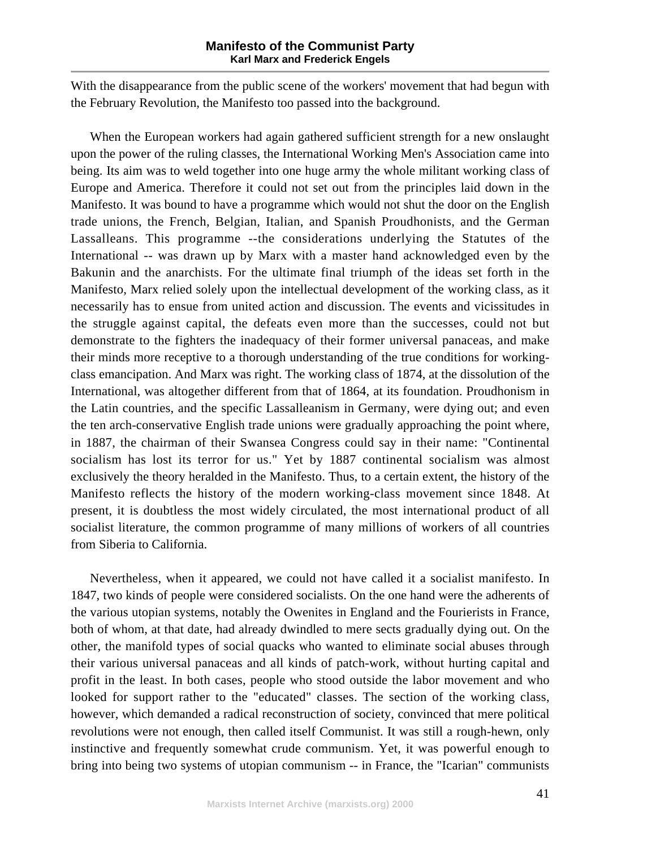With the disappearance from the public scene of the workers' movement that had begun with the February Revolution, the Manifesto too passed into the background.

When the European workers had again gathered sufficient strength for a new onslaught upon the power of the ruling classes, the International Working Men's Association came into being. Its aim was to weld together into one huge army the whole militant working class of Europe and America. Therefore it could not set out from the principles laid down in the Manifesto. It was bound to have a programme which would not shut the door on the English trade unions, the French, Belgian, Italian, and Spanish Proudhonists, and the German Lassalleans. This programme --the considerations underlying the Statutes of the International -- was drawn up by Marx with a master hand acknowledged even by the Bakunin and the anarchists. For the ultimate final triumph of the ideas set forth in the Manifesto, Marx relied solely upon the intellectual development of the working class, as it necessarily has to ensue from united action and discussion. The events and vicissitudes in the struggle against capital, the defeats even more than the successes, could not but demonstrate to the fighters the inadequacy of their former universal panaceas, and make their minds more receptive to a thorough understanding of the true conditions for workingclass emancipation. And Marx was right. The working class of 1874, at the dissolution of the International, was altogether different from that of 1864, at its foundation. Proudhonism in the Latin countries, and the specific Lassalleanism in Germany, were dying out; and even the ten arch-conservative English trade unions were gradually approaching the point where, in 1887, the chairman of their Swansea Congress could say in their name: "Continental socialism has lost its terror for us." Yet by 1887 continental socialism was almost exclusively the theory heralded in the Manifesto. Thus, to a certain extent, the history of the Manifesto reflects the history of the modern working-class movement since 1848. At present, it is doubtless the most widely circulated, the most international product of all socialist literature, the common programme of many millions of workers of all countries from Siberia to California.

Nevertheless, when it appeared, we could not have called it a socialist manifesto. In 1847, two kinds of people were considered socialists. On the one hand were the adherents of the various utopian systems, notably the Owenites in England and the Fourierists in France, both of whom, at that date, had already dwindled to mere sects gradually dying out. On the other, the manifold types of social quacks who wanted to eliminate social abuses through their various universal panaceas and all kinds of patch-work, without hurting capital and profit in the least. In both cases, people who stood outside the labor movement and who looked for support rather to the "educated" classes. The section of the working class, however, which demanded a radical reconstruction of society, convinced that mere political revolutions were not enough, then called itself Communist. It was still a rough-hewn, only instinctive and frequently somewhat crude communism. Yet, it was powerful enough to bring into being two systems of utopian communism -- in France, the "Icarian" communists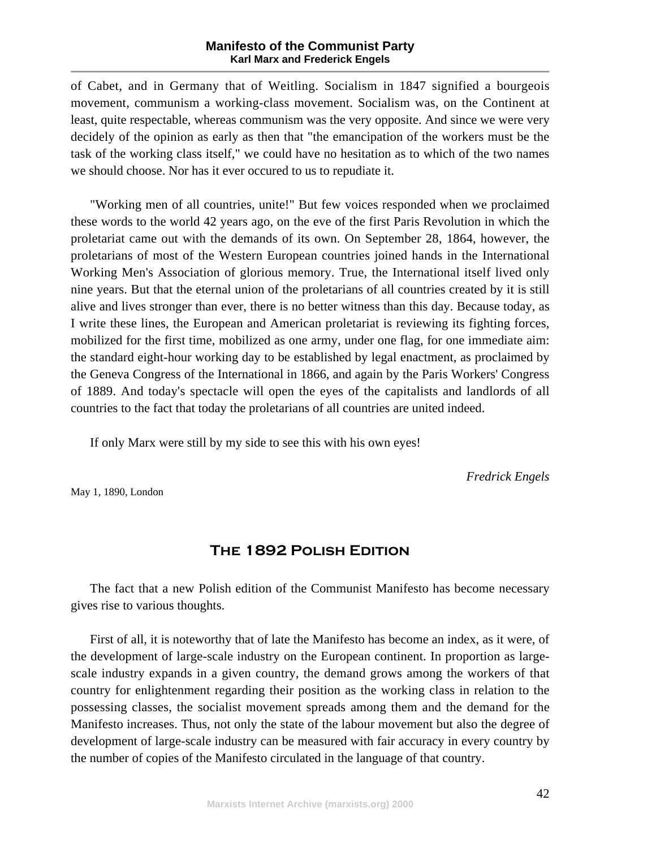of Cabet, and in Germany that of Weitling. Socialism in 1847 signified a bourgeois movement, communism a working-class movement. Socialism was, on the Continent at least, quite respectable, whereas communism was the very opposite. And since we were very decidely of the opinion as early as then that "the emancipation of the workers must be the task of the working class itself," we could have no hesitation as to which of the two names we should choose. Nor has it ever occured to us to repudiate it.

"Working men of all countries, unite!" But few voices responded when we proclaimed these words to the world 42 years ago, on the eve of the first Paris Revolution in which the proletariat came out with the demands of its own. On September 28, 1864, however, the proletarians of most of the Western European countries joined hands in the International Working Men's Association of glorious memory. True, the International itself lived only nine years. But that the eternal union of the proletarians of all countries created by it is still alive and lives stronger than ever, there is no better witness than this day. Because today, as I write these lines, the European and American proletariat is reviewing its fighting forces, mobilized for the first time, mobilized as one army, under one flag, for one immediate aim: the standard eight-hour working day to be established by legal enactment, as proclaimed by the Geneva Congress of the International in 1866, and again by the Paris Workers' Congress of 1889. And today's spectacle will open the eyes of the capitalists and landlords of all countries to the fact that today the proletarians of all countries are united indeed.

If only Marx were still by my side to see this with his own eyes!

*Fredrick Engels*

May 1, 1890, London

## **The 1892 Polish Edition**

The fact that a new Polish edition of the Communist Manifesto has become necessary gives rise to various thoughts.

First of all, it is noteworthy that of late the Manifesto has become an index, as it were, of the development of large-scale industry on the European continent. In proportion as largescale industry expands in a given country, the demand grows among the workers of that country for enlightenment regarding their position as the working class in relation to the possessing classes, the socialist movement spreads among them and the demand for the Manifesto increases. Thus, not only the state of the labour movement but also the degree of development of large-scale industry can be measured with fair accuracy in every country by the number of copies of the Manifesto circulated in the language of that country.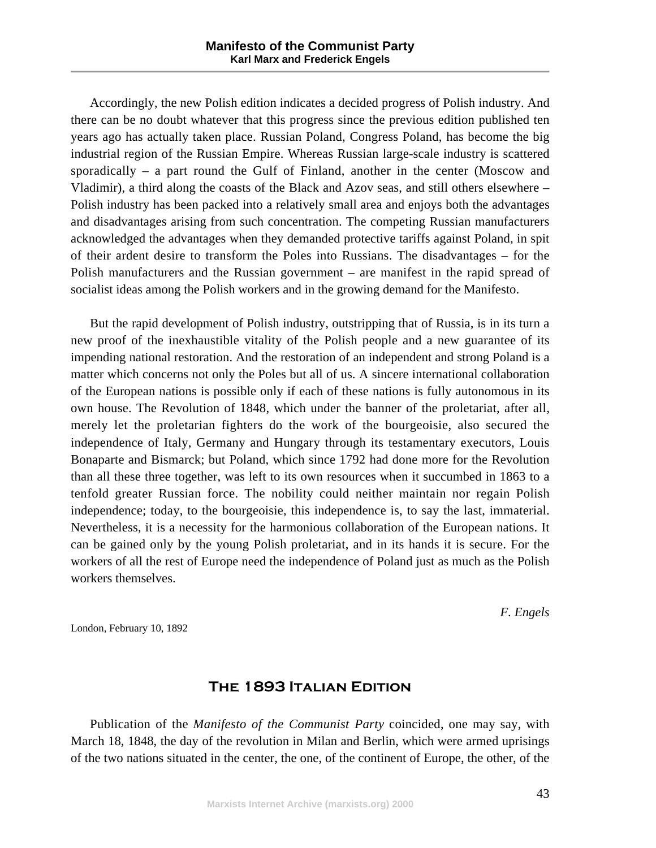Accordingly, the new Polish edition indicates a decided progress of Polish industry. And there can be no doubt whatever that this progress since the previous edition published ten years ago has actually taken place. Russian Poland, Congress Poland, has become the big industrial region of the Russian Empire. Whereas Russian large-scale industry is scattered sporadically – a part round the Gulf of Finland, another in the center (Moscow and Vladimir), a third along the coasts of the Black and Azov seas, and still others elsewhere – Polish industry has been packed into a relatively small area and enjoys both the advantages and disadvantages arising from such concentration. The competing Russian manufacturers acknowledged the advantages when they demanded protective tariffs against Poland, in spit of their ardent desire to transform the Poles into Russians. The disadvantages – for the Polish manufacturers and the Russian government – are manifest in the rapid spread of socialist ideas among the Polish workers and in the growing demand for the Manifesto.

But the rapid development of Polish industry, outstripping that of Russia, is in its turn a new proof of the inexhaustible vitality of the Polish people and a new guarantee of its impending national restoration. And the restoration of an independent and strong Poland is a matter which concerns not only the Poles but all of us. A sincere international collaboration of the European nations is possible only if each of these nations is fully autonomous in its own house. The Revolution of 1848, which under the banner of the proletariat, after all, merely let the proletarian fighters do the work of the bourgeoisie, also secured the independence of Italy, Germany and Hungary through its testamentary executors, Louis Bonaparte and Bismarck; but Poland, which since 1792 had done more for the Revolution than all these three together, was left to its own resources when it succumbed in 1863 to a tenfold greater Russian force. The nobility could neither maintain nor regain Polish independence; today, to the bourgeoisie, this independence is, to say the last, immaterial. Nevertheless, it is a necessity for the harmonious collaboration of the European nations. It can be gained only by the young Polish proletariat, and in its hands it is secure. For the workers of all the rest of Europe need the independence of Poland just as much as the Polish workers themselves.

*F. Engels*

London, February 10, 1892

## **The 1893 Italian Edition**

Publication of the *Manifesto of the Communist Party* coincided, one may say, with March 18, 1848, the day of the revolution in Milan and Berlin, which were armed uprisings of the two nations situated in the center, the one, of the continent of Europe, the other, of the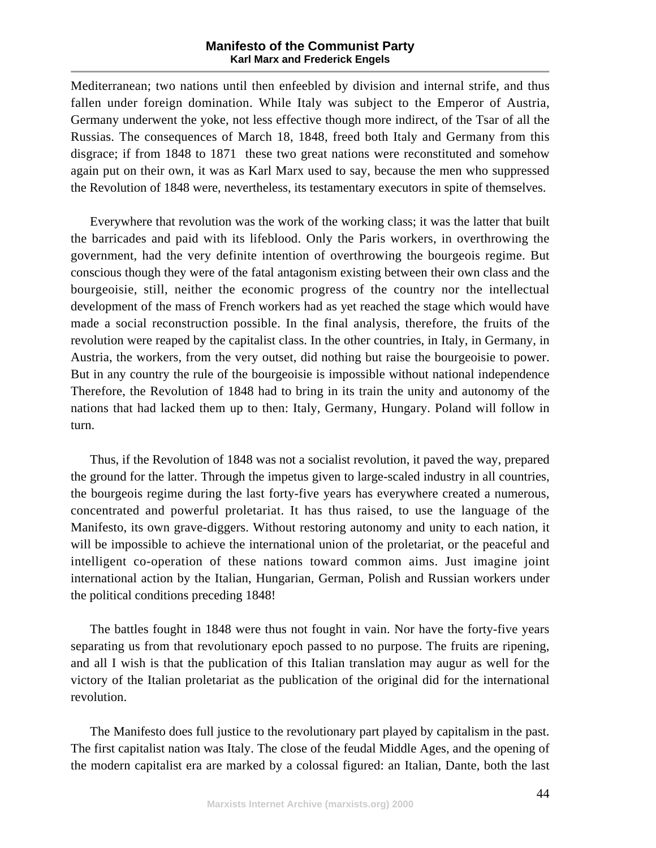Mediterranean; two nations until then enfeebled by division and internal strife, and thus fallen under foreign domination. While Italy was subject to the Emperor of Austria, Germany underwent the yoke, not less effective though more indirect, of the Tsar of all the Russias. The consequences of March 18, 1848, freed both Italy and Germany from this disgrace; if from 1848 to 1871 these two great nations were reconstituted and somehow again put on their own, it was as Karl Marx used to say, because the men who suppressed the Revolution of 1848 were, nevertheless, its testamentary executors in spite of themselves.

Everywhere that revolution was the work of the working class; it was the latter that built the barricades and paid with its lifeblood. Only the Paris workers, in overthrowing the government, had the very definite intention of overthrowing the bourgeois regime. But conscious though they were of the fatal antagonism existing between their own class and the bourgeoisie, still, neither the economic progress of the country nor the intellectual development of the mass of French workers had as yet reached the stage which would have made a social reconstruction possible. In the final analysis, therefore, the fruits of the revolution were reaped by the capitalist class. In the other countries, in Italy, in Germany, in Austria, the workers, from the very outset, did nothing but raise the bourgeoisie to power. But in any country the rule of the bourgeoisie is impossible without national independence Therefore, the Revolution of 1848 had to bring in its train the unity and autonomy of the nations that had lacked them up to then: Italy, Germany, Hungary. Poland will follow in turn.

Thus, if the Revolution of 1848 was not a socialist revolution, it paved the way, prepared the ground for the latter. Through the impetus given to large-scaled industry in all countries, the bourgeois regime during the last forty-five years has everywhere created a numerous, concentrated and powerful proletariat. It has thus raised, to use the language of the Manifesto, its own grave-diggers. Without restoring autonomy and unity to each nation, it will be impossible to achieve the international union of the proletariat, or the peaceful and intelligent co-operation of these nations toward common aims. Just imagine joint international action by the Italian, Hungarian, German, Polish and Russian workers under the political conditions preceding 1848!

The battles fought in 1848 were thus not fought in vain. Nor have the forty-five years separating us from that revolutionary epoch passed to no purpose. The fruits are ripening, and all I wish is that the publication of this Italian translation may augur as well for the victory of the Italian proletariat as the publication of the original did for the international revolution.

The Manifesto does full justice to the revolutionary part played by capitalism in the past. The first capitalist nation was Italy. The close of the feudal Middle Ages, and the opening of the modern capitalist era are marked by a colossal figured: an Italian, Dante, both the last